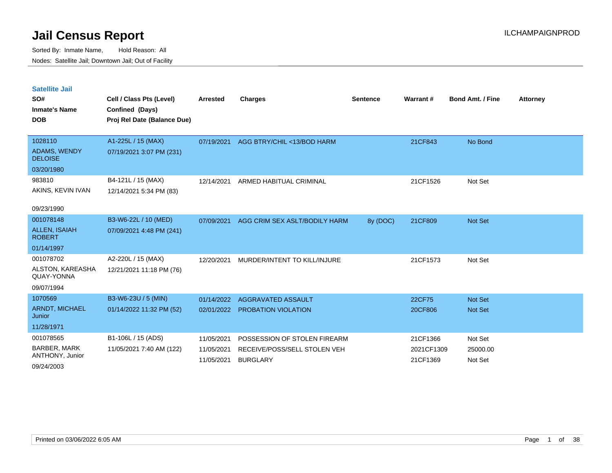| Satellite Jail |  |  |
|----------------|--|--|
|                |  |  |

| SO#<br><b>Inmate's Name</b><br><b>DOB</b>                         | Cell / Class Pts (Level)<br>Confined (Days)<br>Proj Rel Date (Balance Due) | Arrested                               | Charges                                                                         | <b>Sentence</b> | Warrant#                           | <b>Bond Amt. / Fine</b>        | <b>Attorney</b> |
|-------------------------------------------------------------------|----------------------------------------------------------------------------|----------------------------------------|---------------------------------------------------------------------------------|-----------------|------------------------------------|--------------------------------|-----------------|
| 1028110<br>ADAMS, WENDY<br><b>DELOISE</b>                         | A1-225L / 15 (MAX)<br>07/19/2021 3:07 PM (231)                             | 07/19/2021                             | AGG BTRY/CHIL <13/BOD HARM                                                      |                 | 21CF843                            | No Bond                        |                 |
| 03/20/1980<br>983810<br>AKINS, KEVIN IVAN<br>09/23/1990           | B4-121L / 15 (MAX)<br>12/14/2021 5:34 PM (83)                              | 12/14/2021                             | ARMED HABITUAL CRIMINAL                                                         |                 | 21CF1526                           | Not Set                        |                 |
| 001078148<br><b>ALLEN, ISAIAH</b><br><b>ROBERT</b><br>01/14/1997  | B3-W6-22L / 10 (MED)<br>07/09/2021 4:48 PM (241)                           | 07/09/2021                             | AGG CRIM SEX ASLT/BODILY HARM                                                   | 8y (DOC)        | 21CF809                            | <b>Not Set</b>                 |                 |
| 001078702<br>ALSTON, KAREASHA<br>QUAY-YONNA<br>09/07/1994         | A2-220L / 15 (MAX)<br>12/21/2021 11:18 PM (76)                             | 12/20/2021                             | MURDER/INTENT TO KILL/INJURE                                                    |                 | 21CF1573                           | Not Set                        |                 |
| 1070569<br><b>ARNDT, MICHAEL</b><br>Junior<br>11/28/1971          | B3-W6-23U / 5 (MIN)<br>01/14/2022 11:32 PM (52)                            | 01/14/2022<br>02/01/2022               | AGGRAVATED ASSAULT<br><b>PROBATION VIOLATION</b>                                |                 | 22CF75<br>20CF806                  | <b>Not Set</b><br>Not Set      |                 |
| 001078565<br><b>BARBER, MARK</b><br>ANTHONY, Junior<br>09/24/2003 | B1-106L / 15 (ADS)<br>11/05/2021 7:40 AM (122)                             | 11/05/2021<br>11/05/2021<br>11/05/2021 | POSSESSION OF STOLEN FIREARM<br>RECEIVE/POSS/SELL STOLEN VEH<br><b>BURGLARY</b> |                 | 21CF1366<br>2021CF1309<br>21CF1369 | Not Set<br>25000.00<br>Not Set |                 |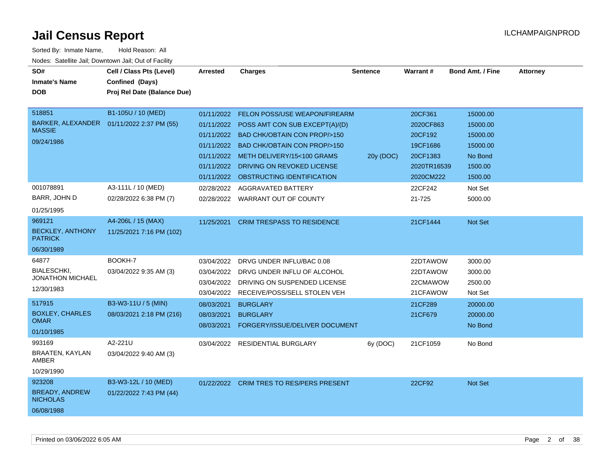| SO#<br><b>Inmate's Name</b><br><b>DOB</b> | Cell / Class Pts (Level)<br>Confined (Days)<br>Proj Rel Date (Balance Due) | <b>Arrested</b> | <b>Charges</b>                            | <b>Sentence</b> | <b>Warrant#</b> | <b>Bond Amt. / Fine</b> | <b>Attorney</b> |
|-------------------------------------------|----------------------------------------------------------------------------|-----------------|-------------------------------------------|-----------------|-----------------|-------------------------|-----------------|
|                                           |                                                                            |                 |                                           |                 |                 |                         |                 |
| 518851                                    | B1-105U / 10 (MED)                                                         | 01/11/2022      | FELON POSS/USE WEAPON/FIREARM             |                 | 20CF361         | 15000.00                |                 |
| BARKER, ALEXANDER                         | 01/11/2022 2:37 PM (55)                                                    |                 | 01/11/2022 POSS AMT CON SUB EXCEPT(A)/(D) |                 | 2020CF863       | 15000.00                |                 |
| <b>MASSIE</b>                             |                                                                            | 01/11/2022      | <b>BAD CHK/OBTAIN CON PROP/&gt;150</b>    |                 | 20CF192         | 15000.00                |                 |
| 09/24/1986                                |                                                                            | 01/11/2022      | <b>BAD CHK/OBTAIN CON PROP/&gt;150</b>    |                 | 19CF1686        | 15000.00                |                 |
|                                           |                                                                            | 01/11/2022      | METH DELIVERY/15<100 GRAMS                | 20y (DOC)       | 20CF1383        | No Bond                 |                 |
|                                           |                                                                            |                 | 01/11/2022 DRIVING ON REVOKED LICENSE     |                 | 2020TR16539     | 1500.00                 |                 |
|                                           |                                                                            |                 | 01/11/2022 OBSTRUCTING IDENTIFICATION     |                 | 2020CM222       | 1500.00                 |                 |
| 001078891                                 | A3-111L / 10 (MED)                                                         | 02/28/2022      | AGGRAVATED BATTERY                        |                 | 22CF242         | Not Set                 |                 |
| BARR, JOHN D                              | 02/28/2022 6:38 PM (7)                                                     |                 | 02/28/2022 WARRANT OUT OF COUNTY          |                 | 21-725          | 5000.00                 |                 |
| 01/25/1995                                |                                                                            |                 |                                           |                 |                 |                         |                 |
| 969121                                    | A4-206L / 15 (MAX)                                                         | 11/25/2021      | <b>CRIM TRESPASS TO RESIDENCE</b>         |                 | 21CF1444        | <b>Not Set</b>          |                 |
| <b>BECKLEY, ANTHONY</b><br><b>PATRICK</b> | 11/25/2021 7:16 PM (102)                                                   |                 |                                           |                 |                 |                         |                 |
| 06/30/1989                                |                                                                            |                 |                                           |                 |                 |                         |                 |
| 64877                                     | BOOKH-7                                                                    | 03/04/2022      | DRVG UNDER INFLU/BAC 0.08                 |                 | 22DTAWOW        | 3000.00                 |                 |
| <b>BIALESCHKI.</b>                        | 03/04/2022 9:35 AM (3)                                                     | 03/04/2022      | DRVG UNDER INFLU OF ALCOHOL               |                 | 22DTAWOW        | 3000.00                 |                 |
| JONATHON MICHAEL                          |                                                                            |                 | 03/04/2022 DRIVING ON SUSPENDED LICENSE   |                 | 22CMAWOW        | 2500.00                 |                 |
| 12/30/1983                                |                                                                            | 03/04/2022      | RECEIVE/POSS/SELL STOLEN VEH              |                 | 21CFAWOW        | Not Set                 |                 |
| 517915                                    | B3-W3-11U / 5 (MIN)                                                        | 08/03/2021      | <b>BURGLARY</b>                           |                 | 21CF289         | 20000.00                |                 |
| <b>BOXLEY, CHARLES</b>                    | 08/03/2021 2:18 PM (216)                                                   | 08/03/2021      | <b>BURGLARY</b>                           |                 | 21CF679         | 20000.00                |                 |
| <b>OMAR</b>                               |                                                                            | 08/03/2021      | FORGERY/ISSUE/DELIVER DOCUMENT            |                 |                 | No Bond                 |                 |
| 01/10/1985                                |                                                                            |                 |                                           |                 |                 |                         |                 |
| 993169                                    | A2-221U                                                                    |                 | 03/04/2022 RESIDENTIAL BURGLARY           | 6y (DOC)        | 21CF1059        | No Bond                 |                 |
| BRAATEN, KAYLAN<br>AMBER                  | 03/04/2022 9:40 AM (3)                                                     |                 |                                           |                 |                 |                         |                 |
| 10/29/1990                                |                                                                            |                 |                                           |                 |                 |                         |                 |
| 923208                                    | B3-W3-12L / 10 (MED)                                                       |                 | 01/22/2022 CRIM TRES TO RES/PERS PRESENT  |                 | 22CF92          | Not Set                 |                 |
| <b>BREADY, ANDREW</b><br><b>NICHOLAS</b>  | 01/22/2022 7:43 PM (44)                                                    |                 |                                           |                 |                 |                         |                 |
| 06/08/1988                                |                                                                            |                 |                                           |                 |                 |                         |                 |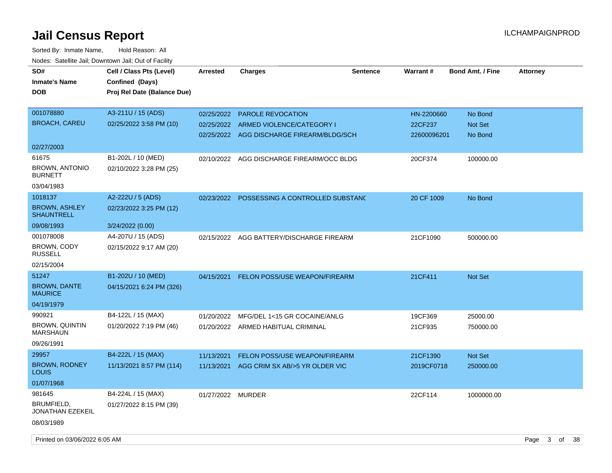| SO#<br><b>Inmate's Name</b><br><b>DOB</b>                        | Cell / Class Pts (Level)<br>Confined (Days)<br>Proj Rel Date (Balance Due) | <b>Arrested</b>   | <b>Charges</b>                                                                                                | <b>Sentence</b> | Warrant#                             | <b>Bond Amt. / Fine</b>       | <b>Attorney</b> |
|------------------------------------------------------------------|----------------------------------------------------------------------------|-------------------|---------------------------------------------------------------------------------------------------------------|-----------------|--------------------------------------|-------------------------------|-----------------|
| 001078880<br><b>BROACH, CAREU</b>                                | A3-211U / 15 (ADS)<br>02/25/2022 3:58 PM (10)                              | 02/25/2022        | <b>PAROLE REVOCATION</b><br>02/25/2022 ARMED VIOLENCE/CATEGORY I<br>02/25/2022 AGG DISCHARGE FIREARM/BLDG/SCH |                 | HN-2200660<br>22CF237<br>22600096201 | No Bond<br>Not Set<br>No Bond |                 |
| 02/27/2003                                                       |                                                                            |                   |                                                                                                               |                 |                                      |                               |                 |
| 61675<br><b>BROWN, ANTONIO</b><br><b>BURNETT</b><br>03/04/1983   | B1-202L / 10 (MED)<br>02/10/2022 3:28 PM (25)                              | 02/10/2022        | AGG DISCHARGE FIREARM/OCC BLDG                                                                                |                 | 20CF374                              | 100000.00                     |                 |
| 1018137<br><b>BROWN, ASHLEY</b><br><b>SHAUNTRELL</b>             | A2-222U / 5 (ADS)<br>02/23/2022 3:25 PM (12)                               |                   | 02/23/2022 POSSESSING A CONTROLLED SUBSTANC                                                                   |                 | 20 CF 1009                           | No Bond                       |                 |
| 09/08/1993                                                       | 3/24/2022 (0.00)                                                           |                   |                                                                                                               |                 |                                      |                               |                 |
| 001078008<br>BROWN, CODY<br><b>RUSSELL</b>                       | A4-207U / 15 (ADS)<br>02/15/2022 9:17 AM (20)                              |                   | 02/15/2022 AGG BATTERY/DISCHARGE FIREARM                                                                      |                 | 21CF1090                             | 500000.00                     |                 |
| 02/15/2004                                                       |                                                                            |                   |                                                                                                               |                 |                                      |                               |                 |
| 51247<br><b>BROWN, DANTE</b><br><b>MAURICE</b><br>04/19/1979     | B1-202U / 10 (MED)<br>04/15/2021 6:24 PM (326)                             | 04/15/2021        | FELON POSS/USE WEAPON/FIREARM                                                                                 |                 | 21CF411                              | <b>Not Set</b>                |                 |
| 990921<br><b>BROWN, QUINTIN</b><br><b>MARSHAUN</b><br>09/26/1991 | B4-122L / 15 (MAX)<br>01/20/2022 7:19 PM (46)                              | 01/20/2022        | MFG/DEL 1<15 GR COCAINE/ANLG<br>01/20/2022 ARMED HABITUAL CRIMINAL                                            |                 | 19CF369<br>21CF935                   | 25000.00<br>750000.00         |                 |
| 29957<br><b>BROWN, RODNEY</b><br><b>LOUIS</b><br>01/07/1968      | B4-222L / 15 (MAX)<br>11/13/2021 8:57 PM (114)                             | 11/13/2021        | FELON POSS/USE WEAPON/FIREARM<br>11/13/2021 AGG CRIM SX AB/>5 YR OLDER VIC                                    |                 | 21CF1390<br>2019CF0718               | Not Set<br>250000.00          |                 |
| 981645<br>BRUMFIELD,<br>JONATHAN EZEKEIL<br>08/03/1989           | B4-224L / 15 (MAX)<br>01/27/2022 8:15 PM (39)                              | 01/27/2022 MURDER |                                                                                                               |                 | 22CF114                              | 1000000.00                    |                 |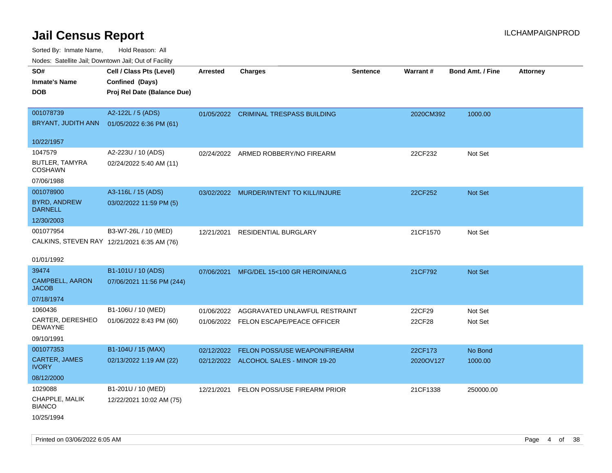| Nudes. Satellite Jali, Downtown Jali, Out of Facility |                                             |            |                                         |                 |           |                         |                 |
|-------------------------------------------------------|---------------------------------------------|------------|-----------------------------------------|-----------------|-----------|-------------------------|-----------------|
| SO#                                                   | Cell / Class Pts (Level)                    | Arrested   | <b>Charges</b>                          | <b>Sentence</b> | Warrant#  | <b>Bond Amt. / Fine</b> | <b>Attorney</b> |
| Inmate's Name                                         | Confined (Days)                             |            |                                         |                 |           |                         |                 |
| <b>DOB</b>                                            | Proj Rel Date (Balance Due)                 |            |                                         |                 |           |                         |                 |
|                                                       |                                             |            |                                         |                 |           |                         |                 |
| 001078739                                             | A2-122L / 5 (ADS)                           | 01/05/2022 | <b>CRIMINAL TRESPASS BUILDING</b>       |                 | 2020CM392 | 1000.00                 |                 |
|                                                       | BRYANT, JUDITH ANN 01/05/2022 6:36 PM (61)  |            |                                         |                 |           |                         |                 |
|                                                       |                                             |            |                                         |                 |           |                         |                 |
| 10/22/1957                                            |                                             |            |                                         |                 |           |                         |                 |
| 1047579                                               | A2-223U / 10 (ADS)                          | 02/24/2022 | ARMED ROBBERY/NO FIREARM                |                 | 22CF232   | Not Set                 |                 |
| BUTLER, TAMYRA<br><b>COSHAWN</b>                      | 02/24/2022 5:40 AM (11)                     |            |                                         |                 |           |                         |                 |
| 07/06/1988                                            |                                             |            |                                         |                 |           |                         |                 |
| 001078900                                             | A3-116L / 15 (ADS)                          |            | 03/02/2022 MURDER/INTENT TO KILL/INJURE |                 | 22CF252   | <b>Not Set</b>          |                 |
| <b>BYRD, ANDREW</b><br><b>DARNELL</b>                 | 03/02/2022 11:59 PM (5)                     |            |                                         |                 |           |                         |                 |
| 12/30/2003                                            |                                             |            |                                         |                 |           |                         |                 |
| 001077954                                             | B3-W7-26L / 10 (MED)                        | 12/21/2021 | <b>RESIDENTIAL BURGLARY</b>             |                 | 21CF1570  | Not Set                 |                 |
|                                                       | CALKINS, STEVEN RAY 12/21/2021 6:35 AM (76) |            |                                         |                 |           |                         |                 |
|                                                       |                                             |            |                                         |                 |           |                         |                 |
| 01/01/1992                                            |                                             |            |                                         |                 |           |                         |                 |
| 39474                                                 | B1-101U / 10 (ADS)                          | 07/06/2021 | MFG/DEL 15<100 GR HEROIN/ANLG           |                 | 21CF792   | Not Set                 |                 |
| CAMPBELL, AARON<br>JACOB                              | 07/06/2021 11:56 PM (244)                   |            |                                         |                 |           |                         |                 |
| 07/18/1974                                            |                                             |            |                                         |                 |           |                         |                 |
| 1060436                                               | B1-106U / 10 (MED)                          | 01/06/2022 | AGGRAVATED UNLAWFUL RESTRAINT           |                 | 22CF29    | Not Set                 |                 |
| CARTER, DERESHEO<br>DEWAYNE                           | 01/06/2022 8:43 PM (60)                     |            | 01/06/2022 FELON ESCAPE/PEACE OFFICER   |                 | 22CF28    | Not Set                 |                 |
| 09/10/1991                                            |                                             |            |                                         |                 |           |                         |                 |
| 001077353                                             | B1-104U / 15 (MAX)                          | 02/12/2022 | FELON POSS/USE WEAPON/FIREARM           |                 | 22CF173   | No Bond                 |                 |
| <b>CARTER, JAMES</b><br>IVORY                         | 02/13/2022 1:19 AM (22)                     |            | 02/12/2022 ALCOHOL SALES - MINOR 19-20  |                 | 2020OV127 | 1000.00                 |                 |
| 08/12/2000                                            |                                             |            |                                         |                 |           |                         |                 |
| 1029088                                               | B1-201U / 10 (MED)                          | 12/21/2021 | FELON POSS/USE FIREARM PRIOR            |                 | 21CF1338  | 250000.00               |                 |
| CHAPPLE, MALIK<br><b>BIANCO</b>                       | 12/22/2021 10:02 AM (75)                    |            |                                         |                 |           |                         |                 |
| 10/25/1994                                            |                                             |            |                                         |                 |           |                         |                 |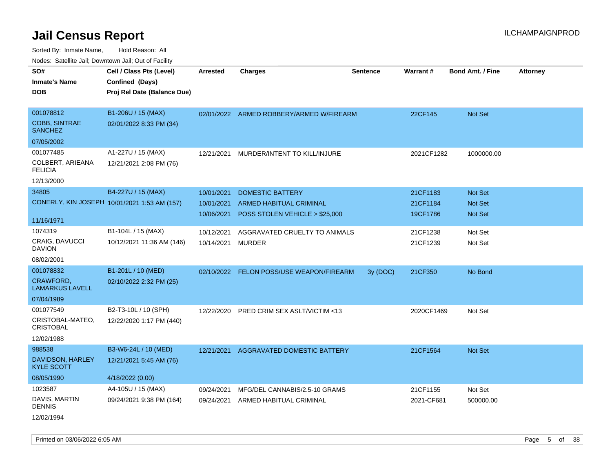Sorted By: Inmate Name, Hold Reason: All Nodes: Satellite Jail; Downtown Jail; Out of Facility

| SO#<br><b>Inmate's Name</b><br><b>DOB</b>           | Cell / Class Pts (Level)<br>Confined (Days)<br>Proj Rel Date (Balance Due) | Arrested                               | <b>Charges</b>                                                                              | <b>Sentence</b> | <b>Warrant#</b>                  | <b>Bond Amt. / Fine</b>                            | <b>Attorney</b> |
|-----------------------------------------------------|----------------------------------------------------------------------------|----------------------------------------|---------------------------------------------------------------------------------------------|-----------------|----------------------------------|----------------------------------------------------|-----------------|
| 001078812<br><b>COBB, SINTRAE</b><br><b>SANCHEZ</b> | B1-206U / 15 (MAX)<br>02/01/2022 8:33 PM (34)                              |                                        | 02/01/2022 ARMED ROBBERY/ARMED W/FIREARM                                                    |                 | 22CF145                          | Not Set                                            |                 |
| 07/05/2002                                          |                                                                            |                                        |                                                                                             |                 |                                  |                                                    |                 |
| 001077485<br>COLBERT, ARIEANA<br><b>FELICIA</b>     | A1-227U / 15 (MAX)<br>12/21/2021 2:08 PM (76)                              | 12/21/2021                             | MURDER/INTENT TO KILL/INJURE                                                                |                 | 2021CF1282                       | 1000000.00                                         |                 |
| 12/13/2000                                          |                                                                            |                                        |                                                                                             |                 |                                  |                                                    |                 |
| 34805                                               | B4-227U / 15 (MAX)<br>CONERLY, KIN JOSEPH 10/01/2021 1:53 AM (157)         | 10/01/2021<br>10/01/2021<br>10/06/2021 | <b>DOMESTIC BATTERY</b><br><b>ARMED HABITUAL CRIMINAL</b><br>POSS STOLEN VEHICLE > \$25,000 |                 | 21CF1183<br>21CF1184<br>19CF1786 | <b>Not Set</b><br><b>Not Set</b><br><b>Not Set</b> |                 |
| 11/16/1971                                          |                                                                            |                                        |                                                                                             |                 |                                  |                                                    |                 |
| 1074319                                             | B1-104L / 15 (MAX)                                                         | 10/12/2021                             | AGGRAVATED CRUELTY TO ANIMALS                                                               |                 | 21CF1238                         | Not Set                                            |                 |
| CRAIG, DAVUCCI<br><b>DAVION</b>                     | 10/12/2021 11:36 AM (146)                                                  | 10/14/2021                             | MURDER                                                                                      |                 | 21CF1239                         | Not Set                                            |                 |
| 08/02/2001                                          |                                                                            |                                        |                                                                                             |                 |                                  |                                                    |                 |
| 001078832                                           | B1-201L / 10 (MED)                                                         | 02/10/2022                             | FELON POSS/USE WEAPON/FIREARM                                                               | 3y (DOC)        | 21CF350                          | No Bond                                            |                 |
| CRAWFORD,<br><b>LAMARKUS LAVELL</b>                 | 02/10/2022 2:32 PM (25)                                                    |                                        |                                                                                             |                 |                                  |                                                    |                 |
| 07/04/1989                                          |                                                                            |                                        |                                                                                             |                 |                                  |                                                    |                 |
| 001077549                                           | B2-T3-10L / 10 (SPH)                                                       | 12/22/2020                             | PRED CRIM SEX ASLT/VICTIM <13                                                               |                 | 2020CF1469                       | Not Set                                            |                 |
| CRISTOBAL-MATEO,<br><b>CRISTOBAL</b>                | 12/22/2020 1:17 PM (440)                                                   |                                        |                                                                                             |                 |                                  |                                                    |                 |
| 12/02/1988                                          |                                                                            |                                        |                                                                                             |                 |                                  |                                                    |                 |
| 988538                                              | B3-W6-24L / 10 (MED)                                                       | 12/21/2021                             | AGGRAVATED DOMESTIC BATTERY                                                                 |                 | 21CF1564                         | <b>Not Set</b>                                     |                 |
| DAVIDSON, HARLEY<br><b>KYLE SCOTT</b>               | 12/21/2021 5:45 AM (76)                                                    |                                        |                                                                                             |                 |                                  |                                                    |                 |
| 08/05/1990                                          | 4/18/2022 (0.00)                                                           |                                        |                                                                                             |                 |                                  |                                                    |                 |
| 1023587                                             | A4-105U / 15 (MAX)                                                         | 09/24/2021                             | MFG/DEL CANNABIS/2.5-10 GRAMS                                                               |                 | 21CF1155                         | Not Set                                            |                 |
| DAVIS, MARTIN<br><b>DENNIS</b>                      | 09/24/2021 9:38 PM (164)                                                   | 09/24/2021                             | ARMED HABITUAL CRIMINAL                                                                     |                 | 2021-CF681                       | 500000.00                                          |                 |
|                                                     |                                                                            |                                        |                                                                                             |                 |                                  |                                                    |                 |

12/02/1994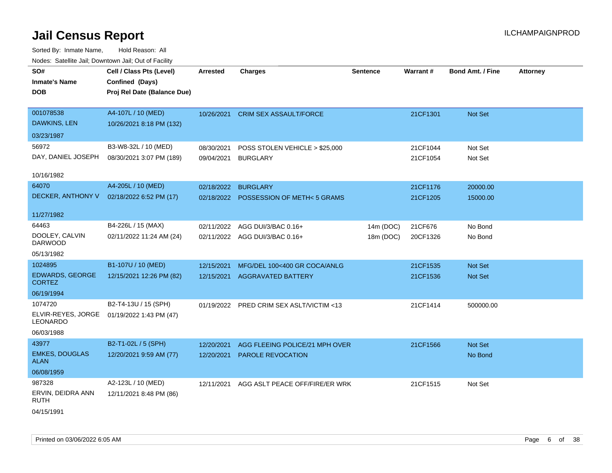| SO#<br><b>Inmate's Name</b><br><b>DOB</b>                | Cell / Class Pts (Level)<br>Confined (Days)<br>Proj Rel Date (Balance Due) | <b>Arrested</b>          | <b>Charges</b>                                      | <b>Sentence</b> | Warrant#             | <b>Bond Amt. / Fine</b> | <b>Attorney</b> |
|----------------------------------------------------------|----------------------------------------------------------------------------|--------------------------|-----------------------------------------------------|-----------------|----------------------|-------------------------|-----------------|
| 001078538<br><b>DAWKINS, LEN</b>                         | A4-107L / 10 (MED)<br>10/26/2021 8:18 PM (132)                             | 10/26/2021               | <b>CRIM SEX ASSAULT/FORCE</b>                       |                 | 21CF1301             | Not Set                 |                 |
| 03/23/1987                                               |                                                                            |                          |                                                     |                 |                      |                         |                 |
| 56972<br>DAY, DANIEL JOSEPH                              | B3-W8-32L / 10 (MED)<br>08/30/2021 3:07 PM (189)                           | 08/30/2021<br>09/04/2021 | POSS STOLEN VEHICLE > \$25,000<br><b>BURGLARY</b>   |                 | 21CF1044<br>21CF1054 | Not Set<br>Not Set      |                 |
| 10/16/1982                                               |                                                                            |                          |                                                     |                 |                      |                         |                 |
| 64070<br>DECKER, ANTHONY V                               | A4-205L / 10 (MED)<br>02/18/2022 6:52 PM (17)                              | 02/18/2022 BURGLARY      | 02/18/2022 POSSESSION OF METH<5 GRAMS               |                 | 21CF1176<br>21CF1205 | 20000.00<br>15000.00    |                 |
| 11/27/1982                                               |                                                                            |                          |                                                     |                 |                      |                         |                 |
| 64463                                                    | B4-226L / 15 (MAX)                                                         | 02/11/2022               | AGG DUI/3/BAC 0.16+                                 | 14m (DOC)       | 21CF676              | No Bond                 |                 |
| DOOLEY, CALVIN<br><b>DARWOOD</b>                         | 02/11/2022 11:24 AM (24)                                                   |                          | 02/11/2022 AGG DUI/3/BAC 0.16+                      | 18m (DOC)       | 20CF1326             | No Bond                 |                 |
| 05/13/1982                                               |                                                                            |                          |                                                     |                 |                      |                         |                 |
| 1024895                                                  | B1-107U / 10 (MED)                                                         | 12/15/2021               | MFG/DEL 100<400 GR COCA/ANLG                        |                 | 21CF1535             | Not Set                 |                 |
| <b>EDWARDS, GEORGE</b><br><b>CORTEZ</b>                  | 12/15/2021 12:26 PM (82)                                                   | 12/15/2021               | <b>AGGRAVATED BATTERY</b>                           |                 | 21CF1536             | Not Set                 |                 |
| 06/19/1994                                               |                                                                            |                          |                                                     |                 |                      |                         |                 |
| 1074720<br>ELVIR-REYES, JORGE<br>LEONARDO<br>06/03/1988  | B2-T4-13U / 15 (SPH)<br>01/19/2022 1:43 PM (47)                            | 01/19/2022               | PRED CRIM SEX ASLT/VICTIM <13                       |                 | 21CF1414             | 500000.00               |                 |
| 43977                                                    | B2-T1-02L / 5 (SPH)                                                        |                          |                                                     |                 |                      | Not Set                 |                 |
| <b>EMKES, DOUGLAS</b><br><b>ALAN</b>                     | 12/20/2021 9:59 AM (77)                                                    | 12/20/2021<br>12/20/2021 | AGG FLEEING POLICE/21 MPH OVER<br>PAROLE REVOCATION |                 | 21CF1566             | No Bond                 |                 |
| 06/08/1959                                               |                                                                            |                          |                                                     |                 |                      |                         |                 |
| 987328<br>ERVIN, DEIDRA ANN<br><b>RUTH</b><br>04/15/1991 | A2-123L / 10 (MED)<br>12/11/2021 8:48 PM (86)                              | 12/11/2021               | AGG ASLT PEACE OFF/FIRE/ER WRK                      |                 | 21CF1515             | Not Set                 |                 |
|                                                          |                                                                            |                          |                                                     |                 |                      |                         |                 |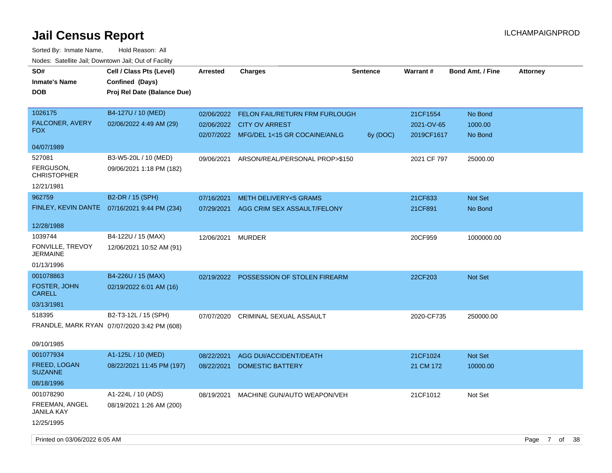| SO#<br><b>Inmate's Name</b><br><b>DOB</b> | Cell / Class Pts (Level)<br>Confined (Days)<br>Proj Rel Date (Balance Due) | Arrested          | <b>Charges</b>                            | <b>Sentence</b> | <b>Warrant#</b> | <b>Bond Amt. / Fine</b> | <b>Attorney</b>                 |
|-------------------------------------------|----------------------------------------------------------------------------|-------------------|-------------------------------------------|-----------------|-----------------|-------------------------|---------------------------------|
| 1026175                                   | B4-127U / 10 (MED)                                                         |                   | 02/06/2022 FELON FAIL/RETURN FRM FURLOUGH |                 | 21CF1554        | No Bond                 |                                 |
| FALCONER, AVERY                           | 02/06/2022 4:49 AM (29)                                                    |                   | 02/06/2022 CITY OV ARREST                 |                 | 2021-OV-65      | 1000.00                 |                                 |
| <b>FOX</b>                                |                                                                            |                   | 02/07/2022 MFG/DEL 1<15 GR COCAINE/ANLG   | 6y (DOC)        | 2019CF1617      | No Bond                 |                                 |
| 04/07/1989                                |                                                                            |                   |                                           |                 |                 |                         |                                 |
| 527081                                    | B3-W5-20L / 10 (MED)                                                       | 09/06/2021        | ARSON/REAL/PERSONAL PROP>\$150            |                 | 2021 CF 797     | 25000.00                |                                 |
| FERGUSON,<br><b>CHRISTOPHER</b>           | 09/06/2021 1:18 PM (182)                                                   |                   |                                           |                 |                 |                         |                                 |
| 12/21/1981                                |                                                                            |                   |                                           |                 |                 |                         |                                 |
| 962759                                    | B2-DR / 15 (SPH)                                                           | 07/16/2021        | <b>METH DELIVERY&lt;5 GRAMS</b>           |                 | 21CF833         | Not Set                 |                                 |
| FINLEY, KEVIN DANTE                       | 07/16/2021 9:44 PM (234)                                                   |                   | 07/29/2021 AGG CRIM SEX ASSAULT/FELONY    |                 | 21CF891         | No Bond                 |                                 |
| 12/28/1988                                |                                                                            |                   |                                           |                 |                 |                         |                                 |
| 1039744                                   | B4-122U / 15 (MAX)                                                         | 12/06/2021 MURDER |                                           |                 | 20CF959         | 1000000.00              |                                 |
| FONVILLE, TREVOY                          | 12/06/2021 10:52 AM (91)                                                   |                   |                                           |                 |                 |                         |                                 |
| <b>JERMAINE</b>                           |                                                                            |                   |                                           |                 |                 |                         |                                 |
| 01/13/1996                                |                                                                            |                   |                                           |                 |                 |                         |                                 |
| 001078863                                 | B4-226U / 15 (MAX)                                                         |                   | 02/19/2022 POSSESSION OF STOLEN FIREARM   |                 | 22CF203         | Not Set                 |                                 |
| FOSTER, JOHN<br><b>CARELL</b>             | 02/19/2022 6:01 AM (16)                                                    |                   |                                           |                 |                 |                         |                                 |
| 03/13/1981                                |                                                                            |                   |                                           |                 |                 |                         |                                 |
| 518395                                    | B2-T3-12L / 15 (SPH)                                                       |                   | 07/07/2020 CRIMINAL SEXUAL ASSAULT        |                 | 2020-CF735      | 250000.00               |                                 |
|                                           | FRANDLE, MARK RYAN 07/07/2020 3:42 PM (608)                                |                   |                                           |                 |                 |                         |                                 |
| 09/10/1985                                |                                                                            |                   |                                           |                 |                 |                         |                                 |
| 001077934                                 | A1-125L / 10 (MED)                                                         | 08/22/2021        | AGG DUI/ACCIDENT/DEATH                    |                 | 21CF1024        | Not Set                 |                                 |
| FREED, LOGAN<br><b>SUZANNE</b>            | 08/22/2021 11:45 PM (197)                                                  | 08/22/2021        | <b>DOMESTIC BATTERY</b>                   |                 | 21 CM 172       | 10000.00                |                                 |
| 08/18/1996                                |                                                                            |                   |                                           |                 |                 |                         |                                 |
| 001078290                                 | A1-224L / 10 (ADS)                                                         | 08/19/2021        | MACHINE GUN/AUTO WEAPON/VEH               |                 | 21CF1012        | Not Set                 |                                 |
| FREEMAN, ANGEL<br><b>JANILA KAY</b>       | 08/19/2021 1:26 AM (200)                                                   |                   |                                           |                 |                 |                         |                                 |
| 12/25/1995                                |                                                                            |                   |                                           |                 |                 |                         |                                 |
| Printed on 03/06/2022 6:05 AM             |                                                                            |                   |                                           |                 |                 |                         | $\overline{7}$<br>of 38<br>Page |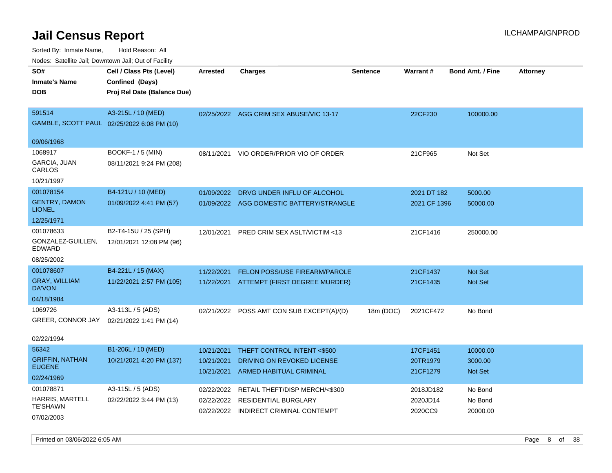| Noues. Sateme Jan, Downtown Jan, Out of Facility |                                            |                 |                                           |           |              |                         |                 |
|--------------------------------------------------|--------------------------------------------|-----------------|-------------------------------------------|-----------|--------------|-------------------------|-----------------|
| SO#                                              | Cell / Class Pts (Level)                   | <b>Arrested</b> | <b>Charges</b>                            | Sentence  | Warrant#     | <b>Bond Amt. / Fine</b> | <b>Attorney</b> |
| <b>Inmate's Name</b>                             | Confined (Days)                            |                 |                                           |           |              |                         |                 |
| DOB                                              | Proj Rel Date (Balance Due)                |                 |                                           |           |              |                         |                 |
|                                                  |                                            |                 |                                           |           |              |                         |                 |
| 591514                                           | A3-215L / 10 (MED)                         |                 | 02/25/2022 AGG CRIM SEX ABUSE/VIC 13-17   |           | 22CF230      | 100000.00               |                 |
|                                                  | GAMBLE, SCOTT PAUL 02/25/2022 6:08 PM (10) |                 |                                           |           |              |                         |                 |
|                                                  |                                            |                 |                                           |           |              |                         |                 |
| 09/06/1968                                       |                                            |                 |                                           |           |              |                         |                 |
| 1068917                                          | <b>BOOKF-1 / 5 (MIN)</b>                   | 08/11/2021      | VIO ORDER/PRIOR VIO OF ORDER              |           | 21CF965      | Not Set                 |                 |
| GARCIA, JUAN<br>CARLOS                           | 08/11/2021 9:24 PM (208)                   |                 |                                           |           |              |                         |                 |
| 10/21/1997                                       |                                            |                 |                                           |           |              |                         |                 |
| 001078154                                        | B4-121U / 10 (MED)                         | 01/09/2022      | DRVG UNDER INFLU OF ALCOHOL               |           | 2021 DT 182  | 5000.00                 |                 |
| <b>GENTRY, DAMON</b><br><b>LIONEL</b>            | 01/09/2022 4:41 PM (57)                    | 01/09/2022      | AGG DOMESTIC BATTERY/STRANGLE             |           | 2021 CF 1396 | 50000.00                |                 |
| 12/25/1971                                       |                                            |                 |                                           |           |              |                         |                 |
| 001078633                                        | B2-T4-15U / 25 (SPH)                       | 12/01/2021      | PRED CRIM SEX ASLT/VICTIM <13             |           | 21CF1416     | 250000.00               |                 |
| GONZALEZ-GUILLEN,<br>EDWARD                      | 12/01/2021 12:08 PM (96)                   |                 |                                           |           |              |                         |                 |
| 08/25/2002                                       |                                            |                 |                                           |           |              |                         |                 |
| 001078607                                        | B4-221L / 15 (MAX)                         | 11/22/2021      | FELON POSS/USE FIREARM/PAROLE             |           | 21CF1437     | <b>Not Set</b>          |                 |
| <b>GRAY, WILLIAM</b><br><b>DA'VON</b>            | 11/22/2021 2:57 PM (105)                   |                 | 11/22/2021 ATTEMPT (FIRST DEGREE MURDER)  |           | 21CF1435     | Not Set                 |                 |
| 04/18/1984                                       |                                            |                 |                                           |           |              |                         |                 |
| 1069726                                          | A3-113L / 5 (ADS)                          |                 | 02/21/2022 POSS AMT CON SUB EXCEPT(A)/(D) | 18m (DOC) | 2021CF472    | No Bond                 |                 |
| GREER, CONNOR JAY                                | 02/21/2022 1:41 PM (14)                    |                 |                                           |           |              |                         |                 |
|                                                  |                                            |                 |                                           |           |              |                         |                 |
| 02/22/1994                                       |                                            |                 |                                           |           |              |                         |                 |
| 56342                                            | B1-206L / 10 (MED)                         | 10/21/2021      | THEFT CONTROL INTENT <\$500               |           | 17CF1451     | 10000.00                |                 |
| <b>GRIFFIN, NATHAN</b>                           | 10/21/2021 4:20 PM (137)                   | 10/21/2021      | DRIVING ON REVOKED LICENSE                |           | 20TR1979     | 3000.00                 |                 |
| <b>EUGENE</b>                                    |                                            | 10/21/2021      | <b>ARMED HABITUAL CRIMINAL</b>            |           | 21CF1279     | <b>Not Set</b>          |                 |
| 02/24/1969                                       |                                            |                 |                                           |           |              |                         |                 |
| 001078871                                        | A3-115L / 5 (ADS)                          | 02/22/2022      | RETAIL THEFT/DISP MERCH/<\$300            |           | 2018JD182    | No Bond                 |                 |
| <b>HARRIS, MARTELL</b><br><b>TE'SHAWN</b>        | 02/22/2022 3:44 PM (13)                    | 02/22/2022      | <b>RESIDENTIAL BURGLARY</b>               |           | 2020JD14     | No Bond                 |                 |
| 07/02/2003                                       |                                            |                 | 02/22/2022 INDIRECT CRIMINAL CONTEMPT     |           | 2020CC9      | 20000.00                |                 |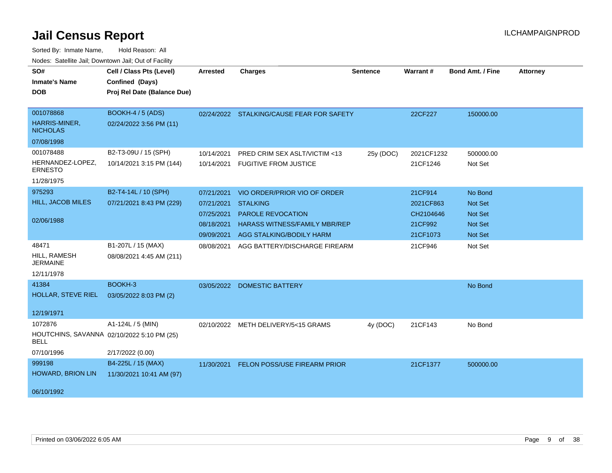| SO#                                | Cell / Class Pts (Level)                   | Arrested   | <b>Charges</b>                            | <b>Sentence</b> | Warrant#   | <b>Bond Amt. / Fine</b> | <b>Attorney</b> |
|------------------------------------|--------------------------------------------|------------|-------------------------------------------|-----------------|------------|-------------------------|-----------------|
| <b>Inmate's Name</b>               | Confined (Days)                            |            |                                           |                 |            |                         |                 |
| <b>DOB</b>                         | Proj Rel Date (Balance Due)                |            |                                           |                 |            |                         |                 |
|                                    |                                            |            |                                           |                 |            |                         |                 |
| 001078868                          | <b>BOOKH-4 / 5 (ADS)</b>                   |            | 02/24/2022 STALKING/CAUSE FEAR FOR SAFETY |                 | 22CF227    | 150000.00               |                 |
| HARRIS-MINER,<br><b>NICHOLAS</b>   | 02/24/2022 3:56 PM (11)                    |            |                                           |                 |            |                         |                 |
| 07/08/1998                         |                                            |            |                                           |                 |            |                         |                 |
| 001078488                          | B2-T3-09U / 15 (SPH)                       | 10/14/2021 | PRED CRIM SEX ASLT/VICTIM <13             | 25y (DOC)       | 2021CF1232 | 500000.00               |                 |
| HERNANDEZ-LOPEZ,<br><b>ERNESTO</b> | 10/14/2021 3:15 PM (144)                   |            | 10/14/2021 FUGITIVE FROM JUSTICE          |                 | 21CF1246   | Not Set                 |                 |
| 11/28/1975                         |                                            |            |                                           |                 |            |                         |                 |
| 975293                             | B2-T4-14L / 10 (SPH)                       | 07/21/2021 | VIO ORDER/PRIOR VIO OF ORDER              |                 | 21CF914    | No Bond                 |                 |
| HILL, JACOB MILES                  | 07/21/2021 8:43 PM (229)                   | 07/21/2021 | <b>STALKING</b>                           |                 | 2021CF863  | Not Set                 |                 |
|                                    |                                            | 07/25/2021 | <b>PAROLE REVOCATION</b>                  |                 | CH2104646  | Not Set                 |                 |
| 02/06/1988                         |                                            | 08/18/2021 | <b>HARASS WITNESS/FAMILY MBR/REP</b>      |                 | 21CF992    | Not Set                 |                 |
|                                    |                                            |            | 09/09/2021 AGG STALKING/BODILY HARM       |                 | 21CF1073   | Not Set                 |                 |
| 48471                              | B1-207L / 15 (MAX)                         | 08/08/2021 | AGG BATTERY/DISCHARGE FIREARM             |                 | 21CF946    | Not Set                 |                 |
| HILL, RAMESH<br><b>JERMAINE</b>    | 08/08/2021 4:45 AM (211)                   |            |                                           |                 |            |                         |                 |
| 12/11/1978                         |                                            |            |                                           |                 |            |                         |                 |
| 41384                              | BOOKH-3                                    |            | 03/05/2022 DOMESTIC BATTERY               |                 |            | No Bond                 |                 |
| <b>HOLLAR, STEVE RIEL</b>          | 03/05/2022 8:03 PM (2)                     |            |                                           |                 |            |                         |                 |
|                                    |                                            |            |                                           |                 |            |                         |                 |
| 12/19/1971                         |                                            |            |                                           |                 |            |                         |                 |
| 1072876                            | A1-124L / 5 (MIN)                          | 02/10/2022 | METH DELIVERY/5<15 GRAMS                  | 4y (DOC)        | 21CF143    | No Bond                 |                 |
| <b>BELL</b>                        | HOUTCHINS, SAVANNA 02/10/2022 5:10 PM (25) |            |                                           |                 |            |                         |                 |
| 07/10/1996                         | 2/17/2022 (0.00)                           |            |                                           |                 |            |                         |                 |
| 999198                             | B4-225L / 15 (MAX)                         | 11/30/2021 | <b>FELON POSS/USE FIREARM PRIOR</b>       |                 | 21CF1377   | 500000.00               |                 |
| HOWARD, BRION LIN                  | 11/30/2021 10:41 AM (97)                   |            |                                           |                 |            |                         |                 |
|                                    |                                            |            |                                           |                 |            |                         |                 |
| 06/10/1992                         |                                            |            |                                           |                 |            |                         |                 |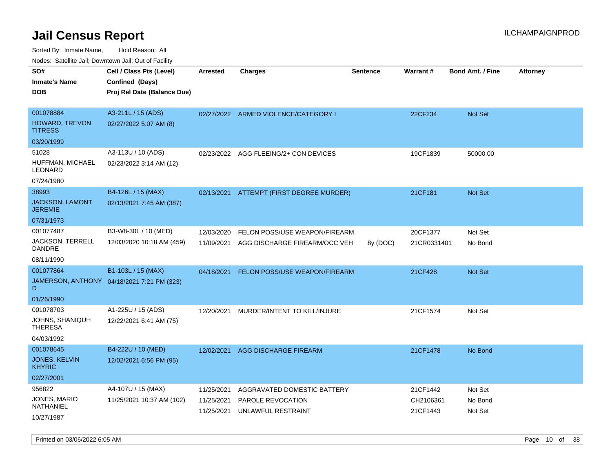Sorted By: Inmate Name, Hold Reason: All Nodes: Satellite Jail; Downtown Jail; Out of Facility

| rouco. Calcillo Jali, Downtown Jali, Out of Facility |                                                                            |                 |                                          |                 |             |                         |                 |
|------------------------------------------------------|----------------------------------------------------------------------------|-----------------|------------------------------------------|-----------------|-------------|-------------------------|-----------------|
| SO#<br>Inmate's Name<br>DOB                          | Cell / Class Pts (Level)<br>Confined (Days)<br>Proj Rel Date (Balance Due) | <b>Arrested</b> | <b>Charges</b>                           | <b>Sentence</b> | Warrant#    | <b>Bond Amt. / Fine</b> | <b>Attorney</b> |
|                                                      |                                                                            |                 |                                          |                 |             |                         |                 |
| 001078884                                            | A3-211L / 15 (ADS)                                                         |                 | 02/27/2022 ARMED VIOLENCE/CATEGORY I     |                 | 22CF234     | <b>Not Set</b>          |                 |
| HOWARD, TREVON<br>TITRESS                            | 02/27/2022 5:07 AM (8)                                                     |                 |                                          |                 |             |                         |                 |
| 03/20/1999                                           |                                                                            |                 |                                          |                 |             |                         |                 |
| 51028                                                | A3-113U / 10 (ADS)                                                         |                 | 02/23/2022 AGG FLEEING/2+ CON DEVICES    |                 | 19CF1839    | 50000.00                |                 |
| HUFFMAN, MICHAEL<br>LEONARD                          | 02/23/2022 3:14 AM (12)                                                    |                 |                                          |                 |             |                         |                 |
| 07/24/1980                                           |                                                                            |                 |                                          |                 |             |                         |                 |
| 38993                                                | B4-126L / 15 (MAX)                                                         |                 | 02/13/2021 ATTEMPT (FIRST DEGREE MURDER) |                 | 21CF181     | <b>Not Set</b>          |                 |
| JACKSON, LAMONT<br>JEREMIE                           | 02/13/2021 7:45 AM (387)                                                   |                 |                                          |                 |             |                         |                 |
| 07/31/1973                                           |                                                                            |                 |                                          |                 |             |                         |                 |
| 001077487                                            | B3-W8-30L / 10 (MED)                                                       | 12/03/2020      | FELON POSS/USE WEAPON/FIREARM            |                 | 20CF1377    | Not Set                 |                 |
| JACKSON, TERRELL<br>DANDRE                           | 12/03/2020 10:18 AM (459)                                                  | 11/09/2021      | AGG DISCHARGE FIREARM/OCC VEH            | 8y (DOC)        | 21CR0331401 | No Bond                 |                 |
| 08/11/1990                                           |                                                                            |                 |                                          |                 |             |                         |                 |
| 001077864                                            | B1-103L / 15 (MAX)                                                         | 04/18/2021      | FELON POSS/USE WEAPON/FIREARM            |                 | 21CF428     | <b>Not Set</b>          |                 |
| D                                                    | JAMERSON, ANTHONY 04/18/2021 7:21 PM (323)                                 |                 |                                          |                 |             |                         |                 |
| 01/26/1990                                           |                                                                            |                 |                                          |                 |             |                         |                 |
| 001078703                                            | A1-225U / 15 (ADS)                                                         | 12/20/2021      | MURDER/INTENT TO KILL/INJURE             |                 | 21CF1574    | Not Set                 |                 |
| JOHNS, SHANIQUH<br>THERESA                           | 12/22/2021 6:41 AM (75)                                                    |                 |                                          |                 |             |                         |                 |
| 04/03/1992                                           |                                                                            |                 |                                          |                 |             |                         |                 |
| 001078645                                            | B4-222U / 10 (MED)                                                         | 12/02/2021      | AGG DISCHARGE FIREARM                    |                 | 21CF1478    | No Bond                 |                 |
| JONES, KELVIN<br><b>KHYRIC</b>                       | 12/02/2021 6:56 PM (95)                                                    |                 |                                          |                 |             |                         |                 |
| 02/27/2001                                           |                                                                            |                 |                                          |                 |             |                         |                 |
| 956822                                               | A4-107U / 15 (MAX)                                                         | 11/25/2021      | AGGRAVATED DOMESTIC BATTERY              |                 | 21CF1442    | Not Set                 |                 |
| JONES, MARIO<br>NATHANIEL                            | 11/25/2021 10:37 AM (102)                                                  | 11/25/2021      | PAROLE REVOCATION                        |                 | CH2106361   | No Bond                 |                 |
| 10/27/1987                                           |                                                                            | 11/25/2021      | UNLAWFUL RESTRAINT                       |                 | 21CF1443    | Not Set                 |                 |

Printed on 03/06/2022 6:05 AM **Page 10** of 38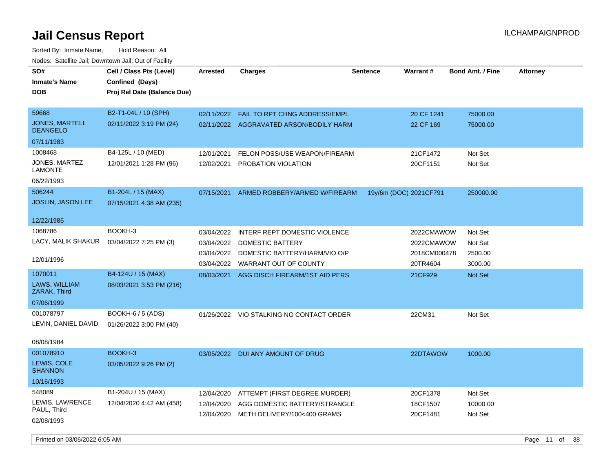Sorted By: Inmate Name, Hold Reason: All Nodes: Satellite Jail; Downtown Jail; Out of Facility

| SO#<br><b>Inmate's Name</b><br><b>DOB</b> | Cell / Class Pts (Level)<br>Confined (Days)<br>Proj Rel Date (Balance Due) | Arrested   | <b>Charges</b>                                                                  | <b>Sentence</b>        | Warrant#                | <b>Bond Amt. / Fine</b> | <b>Attorney</b> |
|-------------------------------------------|----------------------------------------------------------------------------|------------|---------------------------------------------------------------------------------|------------------------|-------------------------|-------------------------|-----------------|
| 59668<br>JONES, MARTELL                   | B2-T1-04L / 10 (SPH)<br>02/11/2022 3:19 PM (24)                            | 02/11/2022 | <b>FAIL TO RPT CHNG ADDRESS/EMPL</b><br>02/11/2022 AGGRAVATED ARSON/BODILY HARM |                        | 20 CF 1241<br>22 CF 169 | 75000.00<br>75000.00    |                 |
| <b>DEANGELO</b>                           |                                                                            |            |                                                                                 |                        |                         |                         |                 |
| 07/11/1983                                |                                                                            |            |                                                                                 |                        |                         |                         |                 |
| 1008468                                   | B4-125L / 10 (MED)                                                         | 12/01/2021 | FELON POSS/USE WEAPON/FIREARM                                                   |                        | 21CF1472                | Not Set                 |                 |
| JONES, MARTEZ<br><b>LAMONTE</b>           | 12/01/2021 1:28 PM (96)                                                    | 12/02/2021 | PROBATION VIOLATION                                                             |                        | 20CF1151                | Not Set                 |                 |
| 06/22/1993                                |                                                                            |            |                                                                                 |                        |                         |                         |                 |
| 506244                                    | B1-204L / 15 (MAX)                                                         | 07/15/2021 | ARMED ROBBERY/ARMED W/FIREARM                                                   | 19y/6m (DOC) 2021CF791 |                         | 250000.00               |                 |
| JOSLIN, JASON LEE                         | 07/15/2021 4:38 AM (235)                                                   |            |                                                                                 |                        |                         |                         |                 |
| 12/22/1985                                |                                                                            |            |                                                                                 |                        |                         |                         |                 |
| 1068786                                   | BOOKH-3                                                                    | 03/04/2022 | INTERF REPT DOMESTIC VIOLENCE                                                   |                        | 2022CMAWOW              | Not Set                 |                 |
| LACY, MALIK SHAKUR                        | 03/04/2022 7:25 PM (3)                                                     | 03/04/2022 | <b>DOMESTIC BATTERY</b>                                                         |                        | 2022CMAWOW              | Not Set                 |                 |
|                                           |                                                                            | 03/04/2022 | DOMESTIC BATTERY/HARM/VIO O/P                                                   |                        | 2018CM000478            | 2500.00                 |                 |
| 12/01/1996                                |                                                                            | 03/04/2022 | WARRANT OUT OF COUNTY                                                           |                        | 20TR4604                | 3000.00                 |                 |
| 1070011                                   | B4-124U / 15 (MAX)                                                         | 08/03/2021 | AGG DISCH FIREARM/1ST AID PERS                                                  |                        | 21CF929                 | Not Set                 |                 |
| LAWS, WILLIAM<br>ZARAK, Third             | 08/03/2021 3:53 PM (216)                                                   |            |                                                                                 |                        |                         |                         |                 |
| 07/06/1999                                |                                                                            |            |                                                                                 |                        |                         |                         |                 |
| 001078797                                 | BOOKH-6 / 5 (ADS)                                                          |            | 01/26/2022 VIO STALKING NO CONTACT ORDER                                        |                        | 22CM31                  | Not Set                 |                 |
| LEVIN, DANIEL DAVID                       | 01/26/2022 3:00 PM (40)                                                    |            |                                                                                 |                        |                         |                         |                 |
| 08/08/1984                                |                                                                            |            |                                                                                 |                        |                         |                         |                 |
| 001078910                                 | BOOKH-3                                                                    |            | 03/05/2022 DUI ANY AMOUNT OF DRUG                                               |                        | 22DTAWOW                | 1000.00                 |                 |
| LEWIS, COLE<br><b>SHANNON</b>             | 03/05/2022 9:26 PM (2)                                                     |            |                                                                                 |                        |                         |                         |                 |
| 10/16/1993                                |                                                                            |            |                                                                                 |                        |                         |                         |                 |
| 548089                                    | B1-204U / 15 (MAX)                                                         | 12/04/2020 | ATTEMPT (FIRST DEGREE MURDER)                                                   |                        | 20CF1378                | Not Set                 |                 |
| LEWIS, LAWRENCE                           | 12/04/2020 4:42 AM (458)                                                   | 12/04/2020 | AGG DOMESTIC BATTERY/STRANGLE                                                   |                        | 18CF1507                | 10000.00                |                 |
| PAUL, Third<br>02/08/1993                 |                                                                            | 12/04/2020 | METH DELIVERY/100<400 GRAMS                                                     |                        | 20CF1481                | Not Set                 |                 |

Printed on 03/06/2022 6:05 AM **Page 11 of 38**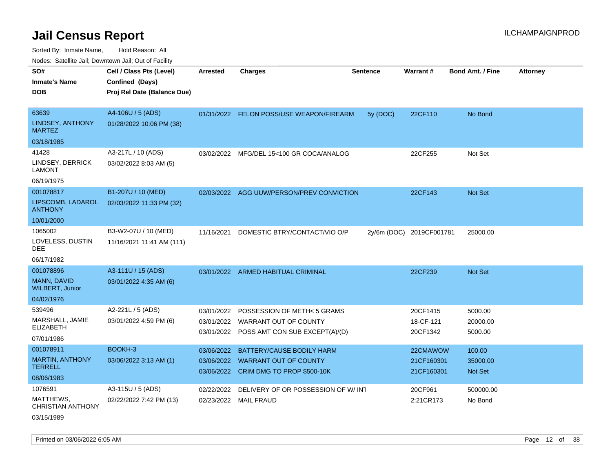Sorted By: Inmate Name, Hold Reason: All Nodes: Satellite Jail; Downtown Jail; Out of Facility

| vouco. Odichite Jail, Downtown Jail, Out of Facility                |                                                                            |                                        |                                                                                                   |                 |                                      |                                      |                 |
|---------------------------------------------------------------------|----------------------------------------------------------------------------|----------------------------------------|---------------------------------------------------------------------------------------------------|-----------------|--------------------------------------|--------------------------------------|-----------------|
| SO#<br><b>Inmate's Name</b><br>DOB                                  | Cell / Class Pts (Level)<br>Confined (Days)<br>Proj Rel Date (Balance Due) | <b>Arrested</b>                        | <b>Charges</b>                                                                                    | <b>Sentence</b> | Warrant#                             | <b>Bond Amt. / Fine</b>              | <b>Attorney</b> |
| 63639<br>LINDSEY, ANTHONY<br><b>MARTEZ</b>                          | A4-106U / 5 (ADS)<br>01/28/2022 10:06 PM (38)                              |                                        | 01/31/2022 FELON POSS/USE WEAPON/FIREARM                                                          | 5y (DOC)        | 22CF110                              | No Bond                              |                 |
| 03/18/1985                                                          |                                                                            |                                        |                                                                                                   |                 |                                      |                                      |                 |
| 41428<br>LINDSEY, DERRICK<br><b>LAMONT</b><br>06/19/1975            | A3-217L / 10 (ADS)<br>03/02/2022 8:03 AM (5)                               |                                        | 03/02/2022 MFG/DEL 15<100 GR COCA/ANALOG                                                          |                 | 22CF255                              | Not Set                              |                 |
| 001078817<br>LIPSCOMB, LADAROL<br><b>ANTHONY</b><br>10/01/2000      | B1-207U / 10 (MED)<br>02/03/2022 11:33 PM (32)                             |                                        | 02/03/2022 AGG UUW/PERSON/PREV CONVICTION                                                         |                 | 22CF143                              | <b>Not Set</b>                       |                 |
| 1065002<br>LOVELESS, DUSTIN<br>DEE<br>06/17/1982                    | B3-W2-07U / 10 (MED)<br>11/16/2021 11:41 AM (111)                          | 11/16/2021                             | DOMESTIC BTRY/CONTACT/VIO O/P                                                                     | $2y/6m$ (DOC)   | 2019CF001781                         | 25000.00                             |                 |
| 001078896<br>MANN, DAVID<br><b>WILBERT, Junior</b><br>04/02/1976    | A3-111U / 15 (ADS)<br>03/01/2022 4:35 AM (6)                               |                                        | 03/01/2022 ARMED HABITUAL CRIMINAL                                                                |                 | 22CF239                              | <b>Not Set</b>                       |                 |
| 539496<br>MARSHALL, JAMIE<br>ELIZABETH<br>07/01/1986                | A2-221L / 5 (ADS)<br>03/01/2022 4:59 PM (6)                                | 03/01/2022<br>03/01/2022               | POSSESSION OF METH< 5 GRAMS<br>WARRANT OUT OF COUNTY<br>03/01/2022 POSS AMT CON SUB EXCEPT(A)/(D) |                 | 20CF1415<br>18-CF-121<br>20CF1342    | 5000.00<br>20000.00<br>5000.00       |                 |
| 001078911<br><b>MARTIN, ANTHONY</b><br><b>TERRELL</b><br>08/06/1983 | BOOKH-3<br>03/06/2022 3:13 AM (1)                                          | 03/06/2022<br>03/06/2022<br>03/06/2022 | <b>BATTERY/CAUSE BODILY HARM</b><br><b>WARRANT OUT OF COUNTY</b><br>CRIM DMG TO PROP \$500-10K    |                 | 22CMAWOW<br>21CF160301<br>21CF160301 | 100.00<br>35000.00<br><b>Not Set</b> |                 |
| 1076591<br>MATTHEWS.<br><b>CHRISTIAN ANTHONY</b>                    | A3-115U / 5 (ADS)<br>02/22/2022 7:42 PM (13)                               | 02/22/2022                             | DELIVERY OF OR POSSESSION OF W/ INT<br>02/23/2022 MAIL FRAUD                                      |                 | 20CF961<br>2:21CR173                 | 500000.00<br>No Bond                 |                 |

03/15/1989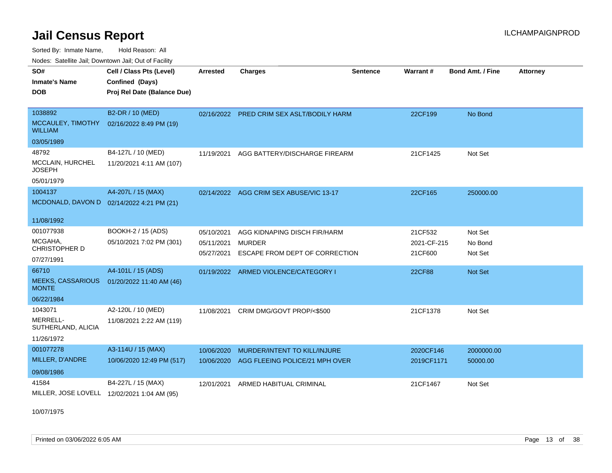Sorted By: Inmate Name, Hold Reason: All

Nodes: Satellite Jail; Downtown Jail; Out of Facility

| SO#<br><b>Inmate's Name</b><br><b>DOB</b><br>1038892     | Cell / Class Pts (Level)<br>Confined (Days)<br>Proj Rel Date (Balance Due)<br>B2-DR / 10 (MED) | <b>Arrested</b><br>02/16/2022 | <b>Charges</b><br>PRED CRIM SEX ASLT/BODILY HARM | <b>Sentence</b> | Warrant#<br>22CF199    | <b>Bond Amt. / Fine</b><br>No Bond | <b>Attorney</b> |
|----------------------------------------------------------|------------------------------------------------------------------------------------------------|-------------------------------|--------------------------------------------------|-----------------|------------------------|------------------------------------|-----------------|
| MCCAULEY, TIMOTHY<br><b>WILLIAM</b>                      | 02/16/2022 8:49 PM (19)                                                                        |                               |                                                  |                 |                        |                                    |                 |
| 03/05/1989                                               |                                                                                                |                               |                                                  |                 |                        |                                    |                 |
| 48792<br>MCCLAIN, HURCHEL<br><b>JOSEPH</b><br>05/01/1979 | B4-127L / 10 (MED)<br>11/20/2021 4:11 AM (107)                                                 | 11/19/2021                    | AGG BATTERY/DISCHARGE FIREARM                    |                 | 21CF1425               | Not Set                            |                 |
| 1004137                                                  | A4-207L / 15 (MAX)                                                                             |                               | 02/14/2022 AGG CRIM SEX ABUSE/VIC 13-17          |                 | 22CF165                | 250000.00                          |                 |
| MCDONALD, DAVON D 02/14/2022 4:21 PM (21)<br>11/08/1992  |                                                                                                |                               |                                                  |                 |                        |                                    |                 |
| 001077938                                                | BOOKH-2 / 15 (ADS)                                                                             | 05/10/2021                    | AGG KIDNAPING DISCH FIR/HARM                     |                 | 21CF532                | Not Set                            |                 |
| MCGAHA,<br><b>CHRISTOPHER D</b><br>07/27/1991            | 05/10/2021 7:02 PM (301)                                                                       | 05/11/2021<br>05/27/2021      | MURDER<br>ESCAPE FROM DEPT OF CORRECTION         |                 | 2021-CF-215<br>21CF600 | No Bond<br>Not Set                 |                 |
| 66710                                                    | A4-101L / 15 (ADS)                                                                             |                               |                                                  |                 |                        |                                    |                 |
| <b>MEEKS, CASSARIOUS</b><br><b>MONTE</b>                 | 01/20/2022 11:40 AM (46)                                                                       |                               | 01/19/2022 ARMED VIOLENCE/CATEGORY I             |                 | <b>22CF88</b>          | <b>Not Set</b>                     |                 |
| 06/22/1984                                               |                                                                                                |                               |                                                  |                 |                        |                                    |                 |
| 1043071                                                  | A2-120L / 10 (MED)                                                                             | 11/08/2021                    | CRIM DMG/GOVT PROP/<\$500                        |                 | 21CF1378               | Not Set                            |                 |
| MERRELL-<br>SUTHERLAND, ALICIA                           | 11/08/2021 2:22 AM (119)                                                                       |                               |                                                  |                 |                        |                                    |                 |
| 11/26/1972                                               |                                                                                                |                               |                                                  |                 |                        |                                    |                 |
| 001077278                                                | A3-114U / 15 (MAX)                                                                             | 10/06/2020                    | MURDER/INTENT TO KILL/INJURE                     |                 | 2020CF146              | 2000000.00                         |                 |
| MILLER, D'ANDRE                                          | 10/06/2020 12:49 PM (517)                                                                      | 10/06/2020                    | AGG FLEEING POLICE/21 MPH OVER                   |                 | 2019CF1171             | 50000.00                           |                 |
| 09/08/1986                                               |                                                                                                |                               |                                                  |                 |                        |                                    |                 |
| 41584<br>MILLER, JOSE LOVELL 12/02/2021 1:04 AM (95)     | B4-227L / 15 (MAX)                                                                             | 12/01/2021                    | ARMED HABITUAL CRIMINAL                          |                 | 21CF1467               | Not Set                            |                 |

10/07/1975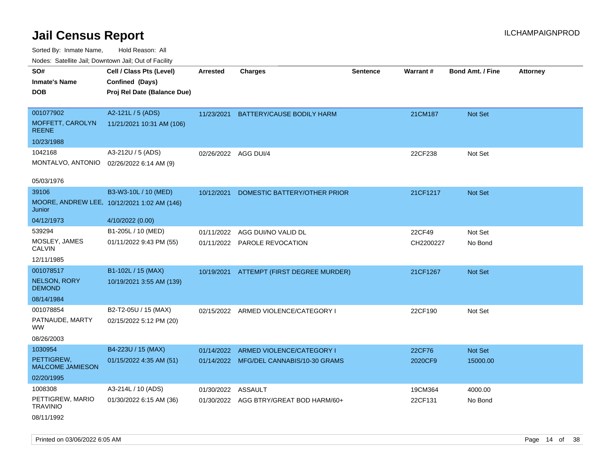Sorted By: Inmate Name, Hold Reason: All

| Nodes: Satellite Jail: Downtown Jail: Out of Facility |                                             |                    |                                         |                 |           |                         |                 |
|-------------------------------------------------------|---------------------------------------------|--------------------|-----------------------------------------|-----------------|-----------|-------------------------|-----------------|
| SO#                                                   | Cell / Class Pts (Level)                    | <b>Arrested</b>    | <b>Charges</b>                          | <b>Sentence</b> | Warrant#  | <b>Bond Amt. / Fine</b> | <b>Attorney</b> |
| <b>Inmate's Name</b>                                  | Confined (Days)                             |                    |                                         |                 |           |                         |                 |
| <b>DOB</b>                                            | Proj Rel Date (Balance Due)                 |                    |                                         |                 |           |                         |                 |
|                                                       |                                             |                    |                                         |                 |           |                         |                 |
| 001077902                                             | A2-121L / 5 (ADS)                           | 11/23/2021         | BATTERY/CAUSE BODILY HARM               |                 | 21CM187   | Not Set                 |                 |
| MOFFETT, CAROLYN<br><b>REENE</b>                      | 11/21/2021 10:31 AM (106)                   |                    |                                         |                 |           |                         |                 |
| 10/23/1988                                            |                                             |                    |                                         |                 |           |                         |                 |
| 1042168                                               | A3-212U / 5 (ADS)                           |                    | 02/26/2022 AGG DUI/4                    |                 | 22CF238   | Not Set                 |                 |
| MONTALVO, ANTONIO                                     | 02/26/2022 6:14 AM (9)                      |                    |                                         |                 |           |                         |                 |
|                                                       |                                             |                    |                                         |                 |           |                         |                 |
| 05/03/1976                                            |                                             |                    |                                         |                 |           |                         |                 |
| 39106                                                 | B3-W3-10L / 10 (MED)                        | 10/12/2021         | DOMESTIC BATTERY/OTHER PRIOR            |                 | 21CF1217  | Not Set                 |                 |
| Junior                                                | MOORE, ANDREW LEE, 10/12/2021 1:02 AM (146) |                    |                                         |                 |           |                         |                 |
| 04/12/1973                                            | 4/10/2022 (0.00)                            |                    |                                         |                 |           |                         |                 |
| 539294                                                | B1-205L / 10 (MED)                          | 01/11/2022         | AGG DUI/NO VALID DL                     |                 | 22CF49    | Not Set                 |                 |
| MOSLEY, JAMES<br><b>CALVIN</b>                        | 01/11/2022 9:43 PM (55)                     |                    | 01/11/2022 PAROLE REVOCATION            |                 | CH2200227 | No Bond                 |                 |
| 12/11/1985                                            |                                             |                    |                                         |                 |           |                         |                 |
| 001078517                                             | B1-102L / 15 (MAX)                          | 10/19/2021         | ATTEMPT (FIRST DEGREE MURDER)           |                 | 21CF1267  | Not Set                 |                 |
| <b>NELSON, RORY</b><br><b>DEMOND</b>                  | 10/19/2021 3:55 AM (139)                    |                    |                                         |                 |           |                         |                 |
| 08/14/1984                                            |                                             |                    |                                         |                 |           |                         |                 |
| 001078854                                             | B2-T2-05U / 15 (MAX)                        | 02/15/2022         | ARMED VIOLENCE/CATEGORY I               |                 | 22CF190   | Not Set                 |                 |
| PATNAUDE, MARTY<br><b>WW</b>                          | 02/15/2022 5:12 PM (20)                     |                    |                                         |                 |           |                         |                 |
| 08/26/2003                                            |                                             |                    |                                         |                 |           |                         |                 |
| 1030954                                               | B4-223U / 15 (MAX)                          | 01/14/2022         | ARMED VIOLENCE/CATEGORY I               |                 | 22CF76    | Not Set                 |                 |
| PETTIGREW,<br>MALCOME JAMIESON                        | 01/15/2022 4:35 AM (51)                     |                    | 01/14/2022 MFG/DEL CANNABIS/10-30 GRAMS |                 | 2020CF9   | 15000.00                |                 |
| 02/20/1995                                            |                                             |                    |                                         |                 |           |                         |                 |
| 1008308                                               | A3-214L / 10 (ADS)                          | 01/30/2022 ASSAULT |                                         |                 | 19CM364   | 4000.00                 |                 |
| PETTIGREW, MARIO<br><b>TRAVINIO</b>                   | 01/30/2022 6:15 AM (36)                     |                    | 01/30/2022 AGG BTRY/GREAT BOD HARM/60+  |                 | 22CF131   | No Bond                 |                 |
| 08/11/1992                                            |                                             |                    |                                         |                 |           |                         |                 |

Printed on 03/06/2022 6:05 AM **Page 14 of 38**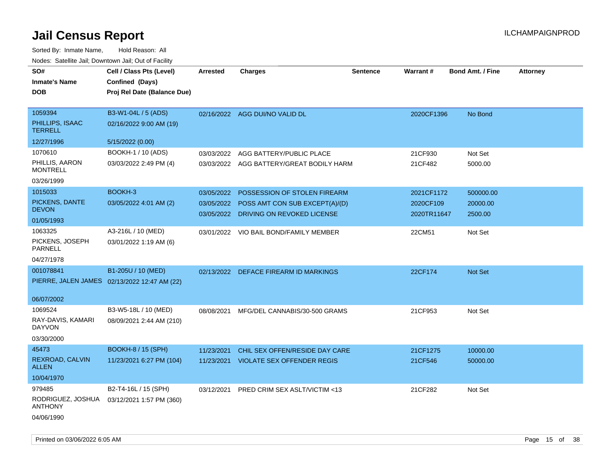| SO#<br><b>Inmate's Name</b><br><b>DOB</b>                     | Cell / Class Pts (Level)<br>Confined (Days)<br>Proj Rel Date (Balance Due) | <b>Arrested</b>          | <b>Charges</b>                                                                                          | <b>Sentence</b> | Warrant#                               | <b>Bond Amt. / Fine</b>          | <b>Attorney</b> |
|---------------------------------------------------------------|----------------------------------------------------------------------------|--------------------------|---------------------------------------------------------------------------------------------------------|-----------------|----------------------------------------|----------------------------------|-----------------|
| 1059394<br>PHILLIPS, ISAAC<br><b>TERRELL</b><br>12/27/1996    | B3-W1-04L / 5 (ADS)<br>02/16/2022 9:00 AM (19)                             |                          | 02/16/2022 AGG DUI/NO VALID DL                                                                          |                 | 2020CF1396                             | No Bond                          |                 |
| 1070610<br>PHILLIS, AARON<br><b>MONTRELL</b><br>03/26/1999    | 5/15/2022 (0.00)<br>BOOKH-1 / 10 (ADS)<br>03/03/2022 2:49 PM (4)           | 03/03/2022               | AGG BATTERY/PUBLIC PLACE<br>03/03/2022 AGG BATTERY/GREAT BODILY HARM                                    |                 | 21CF930<br>21CF482                     | Not Set<br>5000.00               |                 |
| 1015033<br>PICKENS, DANTE<br><b>DEVON</b><br>01/05/1993       | BOOKH-3<br>03/05/2022 4:01 AM (2)                                          | 03/05/2022<br>03/05/2022 | POSSESSION OF STOLEN FIREARM<br>03/05/2022 POSS AMT CON SUB EXCEPT(A)/(D)<br>DRIVING ON REVOKED LICENSE |                 | 2021CF1172<br>2020CF109<br>2020TR11647 | 500000.00<br>20000.00<br>2500.00 |                 |
| 1063325<br>PICKENS, JOSEPH<br><b>PARNELL</b><br>04/27/1978    | A3-216L / 10 (MED)<br>03/01/2022 1:19 AM (6)                               |                          | 03/01/2022 VIO BAIL BOND/FAMILY MEMBER                                                                  |                 | 22CM51                                 | Not Set                          |                 |
| 001078841<br>06/07/2002                                       | B1-205U / 10 (MED)<br>PIERRE, JALEN JAMES 02/13/2022 12:47 AM (22)         |                          | 02/13/2022 DEFACE FIREARM ID MARKINGS                                                                   |                 | 22CF174                                | Not Set                          |                 |
| 1069524<br>RAY-DAVIS, KAMARI<br><b>DAYVON</b><br>03/30/2000   | B3-W5-18L / 10 (MED)<br>08/09/2021 2:44 AM (210)                           | 08/08/2021               | MFG/DEL CANNABIS/30-500 GRAMS                                                                           |                 | 21CF953                                | Not Set                          |                 |
| 45473<br><b>REXROAD, CALVIN</b><br><b>ALLEN</b><br>10/04/1970 | <b>BOOKH-8 / 15 (SPH)</b><br>11/23/2021 6:27 PM (104)                      | 11/23/2021               | CHIL SEX OFFEN/RESIDE DAY CARE<br>11/23/2021 VIOLATE SEX OFFENDER REGIS                                 |                 | 21CF1275<br>21CF546                    | 10000.00<br>50000.00             |                 |
| 979485<br>RODRIGUEZ, JOSHUA<br><b>ANTHONY</b><br>04/06/1990   | B2-T4-16L / 15 (SPH)<br>03/12/2021 1:57 PM (360)                           | 03/12/2021               | PRED CRIM SEX ASLT/VICTIM <13                                                                           |                 | 21CF282                                | Not Set                          |                 |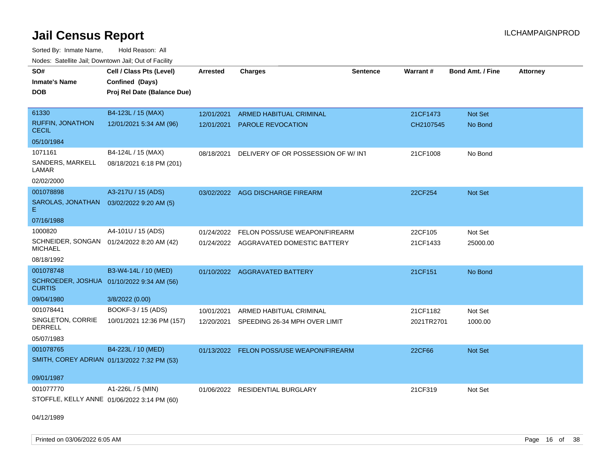Sorted By: Inmate Name, Hold Reason: All Nodes: Satellite Jail; Downtown Jail; Out of Facility

| SO#                                                         | Cell / Class Pts (Level)    | <b>Arrested</b> | <b>Charges</b>                           | <b>Sentence</b> | Warrant#   | <b>Bond Amt. / Fine</b> | <b>Attorney</b> |
|-------------------------------------------------------------|-----------------------------|-----------------|------------------------------------------|-----------------|------------|-------------------------|-----------------|
| <b>Inmate's Name</b>                                        | Confined (Days)             |                 |                                          |                 |            |                         |                 |
| <b>DOB</b>                                                  | Proj Rel Date (Balance Due) |                 |                                          |                 |            |                         |                 |
|                                                             |                             |                 |                                          |                 |            |                         |                 |
| 61330                                                       | B4-123L / 15 (MAX)          | 12/01/2021      | <b>ARMED HABITUAL CRIMINAL</b>           |                 | 21CF1473   | Not Set                 |                 |
| <b>RUFFIN, JONATHON</b><br><b>CECIL</b>                     | 12/01/2021 5:34 AM (96)     | 12/01/2021      | <b>PAROLE REVOCATION</b>                 |                 | CH2107545  | No Bond                 |                 |
| 05/10/1984                                                  |                             |                 |                                          |                 |            |                         |                 |
| 1071161                                                     | B4-124L / 15 (MAX)          | 08/18/2021      | DELIVERY OF OR POSSESSION OF W/INT       |                 | 21CF1008   | No Bond                 |                 |
| SANDERS, MARKELL<br>LAMAR                                   | 08/18/2021 6:18 PM (201)    |                 |                                          |                 |            |                         |                 |
| 02/02/2000                                                  |                             |                 |                                          |                 |            |                         |                 |
| 001078898                                                   | A3-217U / 15 (ADS)          |                 | 03/02/2022 AGG DISCHARGE FIREARM         |                 | 22CF254    | Not Set                 |                 |
| SAROLAS, JONATHAN<br>E.                                     | 03/02/2022 9:20 AM (5)      |                 |                                          |                 |            |                         |                 |
| 07/16/1988                                                  |                             |                 |                                          |                 |            |                         |                 |
| 1000820                                                     | A4-101U / 15 (ADS)          | 01/24/2022      | <b>FELON POSS/USE WEAPON/FIREARM</b>     |                 | 22CF105    | Not Set                 |                 |
| SCHNEIDER, SONGAN 01/24/2022 8:20 AM (42)<br><b>MICHAEL</b> |                             |                 | 01/24/2022 AGGRAVATED DOMESTIC BATTERY   |                 | 21CF1433   | 25000.00                |                 |
| 08/18/1992                                                  |                             |                 |                                          |                 |            |                         |                 |
| 001078748                                                   | B3-W4-14L / 10 (MED)        |                 | 01/10/2022 AGGRAVATED BATTERY            |                 | 21CF151    | No Bond                 |                 |
| SCHROEDER, JOSHUA 01/10/2022 9:34 AM (56)<br><b>CURTIS</b>  |                             |                 |                                          |                 |            |                         |                 |
| 09/04/1980                                                  | 3/8/2022 (0.00)             |                 |                                          |                 |            |                         |                 |
| 001078441                                                   | BOOKF-3 / 15 (ADS)          | 10/01/2021      | ARMED HABITUAL CRIMINAL                  |                 | 21CF1182   | Not Set                 |                 |
| SINGLETON, CORRIE<br><b>DERRELL</b>                         | 10/01/2021 12:36 PM (157)   | 12/20/2021      | SPEEDING 26-34 MPH OVER LIMIT            |                 | 2021TR2701 | 1000.00                 |                 |
| 05/07/1983                                                  |                             |                 |                                          |                 |            |                         |                 |
| 001078765                                                   | B4-223L / 10 (MED)          |                 | 01/13/2022 FELON POSS/USE WEAPON/FIREARM |                 | 22CF66     | <b>Not Set</b>          |                 |
| SMITH, COREY ADRIAN 01/13/2022 7:32 PM (53)                 |                             |                 |                                          |                 |            |                         |                 |
|                                                             |                             |                 |                                          |                 |            |                         |                 |
| 09/01/1987                                                  |                             |                 |                                          |                 |            |                         |                 |
| 001077770                                                   | A1-226L / 5 (MIN)           |                 | 01/06/2022 RESIDENTIAL BURGLARY          |                 | 21CF319    | Not Set                 |                 |
| STOFFLE, KELLY ANNE 01/06/2022 3:14 PM (60)                 |                             |                 |                                          |                 |            |                         |                 |

04/12/1989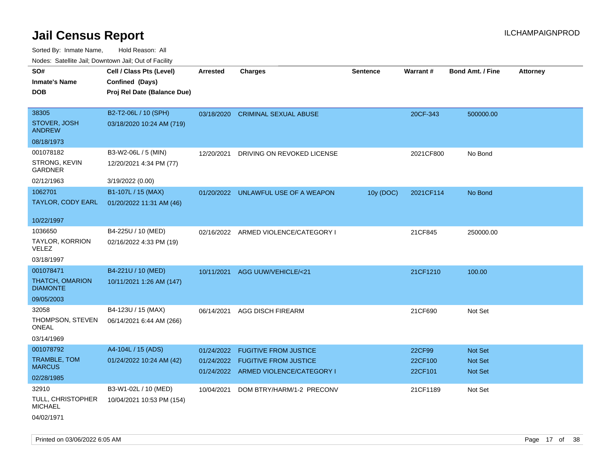| rougs. Calcing Jan, Downtown Jan, Out of Facility |                             |                 |                                                                          |                 |                    |                                  |                 |
|---------------------------------------------------|-----------------------------|-----------------|--------------------------------------------------------------------------|-----------------|--------------------|----------------------------------|-----------------|
| SO#                                               | Cell / Class Pts (Level)    | <b>Arrested</b> | <b>Charges</b>                                                           | <b>Sentence</b> | <b>Warrant#</b>    | <b>Bond Amt. / Fine</b>          | <b>Attorney</b> |
| <b>Inmate's Name</b>                              | Confined (Days)             |                 |                                                                          |                 |                    |                                  |                 |
| <b>DOB</b>                                        | Proj Rel Date (Balance Due) |                 |                                                                          |                 |                    |                                  |                 |
|                                                   |                             |                 |                                                                          |                 |                    |                                  |                 |
| 38305                                             | B2-T2-06L / 10 (SPH)        |                 | 03/18/2020 CRIMINAL SEXUAL ABUSE                                         |                 | 20CF-343           | 500000.00                        |                 |
| STOVER, JOSH<br><b>ANDREW</b>                     | 03/18/2020 10:24 AM (719)   |                 |                                                                          |                 |                    |                                  |                 |
| 08/18/1973                                        |                             |                 |                                                                          |                 |                    |                                  |                 |
| 001078182                                         | B3-W2-06L / 5 (MIN)         | 12/20/2021      | DRIVING ON REVOKED LICENSE                                               |                 | 2021CF800          | No Bond                          |                 |
| STRONG, KEVIN<br>GARDNER                          | 12/20/2021 4:34 PM (77)     |                 |                                                                          |                 |                    |                                  |                 |
| 02/12/1963                                        | 3/19/2022 (0.00)            |                 |                                                                          |                 |                    |                                  |                 |
| 1062701                                           | B1-107L / 15 (MAX)          |                 | 01/20/2022 UNLAWFUL USE OF A WEAPON                                      | 10y (DOC)       | 2021CF114          | No Bond                          |                 |
| TAYLOR, CODY EARL                                 | 01/20/2022 11:31 AM (46)    |                 |                                                                          |                 |                    |                                  |                 |
| 10/22/1997                                        |                             |                 |                                                                          |                 |                    |                                  |                 |
| 1036650                                           | B4-225U / 10 (MED)          |                 | 02/16/2022 ARMED VIOLENCE/CATEGORY I                                     |                 | 21CF845            | 250000.00                        |                 |
| TAYLOR, KORRION<br>VELEZ                          | 02/16/2022 4:33 PM (19)     |                 |                                                                          |                 |                    |                                  |                 |
| 03/18/1997                                        |                             |                 |                                                                          |                 |                    |                                  |                 |
| 001078471                                         | B4-221U / 10 (MED)          | 10/11/2021      | AGG UUW/VEHICLE/<21                                                      |                 | 21CF1210           | 100.00                           |                 |
| <b>THATCH, OMARION</b><br><b>DIAMONTE</b>         | 10/11/2021 1:26 AM (147)    |                 |                                                                          |                 |                    |                                  |                 |
| 09/05/2003                                        |                             |                 |                                                                          |                 |                    |                                  |                 |
| 32058                                             | B4-123U / 15 (MAX)          | 06/14/2021      | AGG DISCH FIREARM                                                        |                 | 21CF690            | Not Set                          |                 |
| THOMPSON, STEVEN<br>ONEAL                         | 06/14/2021 6:44 AM (266)    |                 |                                                                          |                 |                    |                                  |                 |
| 03/14/1969                                        |                             |                 |                                                                          |                 |                    |                                  |                 |
| 001078792                                         | A4-104L / 15 (ADS)          | 01/24/2022      | <b>FUGITIVE FROM JUSTICE</b>                                             |                 | 22CF99             | <b>Not Set</b>                   |                 |
| <b>TRAMBLE, TOM</b><br><b>MARCUS</b>              | 01/24/2022 10:24 AM (42)    |                 | 01/24/2022 FUGITIVE FROM JUSTICE<br>01/24/2022 ARMED VIOLENCE/CATEGORY I |                 | 22CF100<br>22CF101 | <b>Not Set</b><br><b>Not Set</b> |                 |
| 02/28/1985                                        |                             |                 |                                                                          |                 |                    |                                  |                 |
| 32910                                             | B3-W1-02L / 10 (MED)        | 10/04/2021      | DOM BTRY/HARM/1-2 PRECONV                                                |                 | 21CF1189           | Not Set                          |                 |
| TULL, CHRISTOPHER<br><b>MICHAEL</b>               | 10/04/2021 10:53 PM (154)   |                 |                                                                          |                 |                    |                                  |                 |
| 04/02/1971                                        |                             |                 |                                                                          |                 |                    |                                  |                 |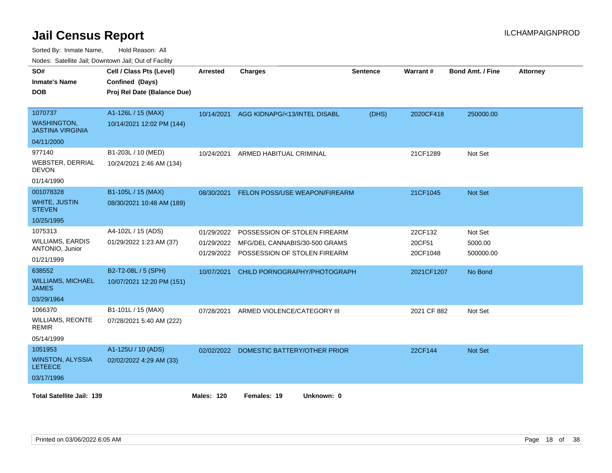Sorted By: Inmate Name, Hold Reason: All

Nodes: Satellite Jail; Downtown Jail; Out of Facility

| SO#<br><b>Inmate's Name</b><br><b>DOB</b>                | Cell / Class Pts (Level)<br>Confined (Days)<br>Proj Rel Date (Balance Due) | <b>Arrested</b>   | <b>Charges</b>                                                           | Sentence | Warrant#           | <b>Bond Amt. / Fine</b> | <b>Attorney</b> |
|----------------------------------------------------------|----------------------------------------------------------------------------|-------------------|--------------------------------------------------------------------------|----------|--------------------|-------------------------|-----------------|
| 1070737<br><b>WASHINGTON.</b><br><b>JASTINA VIRGINIA</b> | A1-126L / 15 (MAX)<br>10/14/2021 12:02 PM (144)                            | 10/14/2021        | AGG KIDNAPG/<13/INTEL DISABL                                             | (DHS)    | 2020CF418          | 250000.00               |                 |
| 04/11/2000                                               |                                                                            |                   |                                                                          |          |                    |                         |                 |
| 977140<br><b>WEBSTER, DERRIAL</b><br><b>DEVON</b>        | B1-203L / 10 (MED)<br>10/24/2021 2:46 AM (134)                             | 10/24/2021        | ARMED HABITUAL CRIMINAL                                                  |          | 21CF1289           | Not Set                 |                 |
| 01/14/1990                                               |                                                                            |                   |                                                                          |          |                    |                         |                 |
| 001078328                                                | B1-105L / 15 (MAX)                                                         | 08/30/2021        | FELON POSS/USE WEAPON/FIREARM                                            |          | 21CF1045           | <b>Not Set</b>          |                 |
| <b>WHITE, JUSTIN</b><br><b>STEVEN</b>                    | 08/30/2021 10:48 AM (189)                                                  |                   |                                                                          |          |                    |                         |                 |
| 10/25/1995                                               |                                                                            |                   |                                                                          |          |                    |                         |                 |
| 1075313                                                  | A4-102L / 15 (ADS)                                                         | 01/29/2022        | POSSESSION OF STOLEN FIREARM                                             |          | 22CF132            | Not Set                 |                 |
| <b>WILLIAMS, EARDIS</b><br>ANTONIO, Junior               | 01/29/2022 1:23 AM (37)                                                    | 01/29/2022        | MFG/DEL CANNABIS/30-500 GRAMS<br>01/29/2022 POSSESSION OF STOLEN FIREARM |          | 20CF51<br>20CF1048 | 5000.00<br>500000.00    |                 |
| 01/21/1999                                               |                                                                            |                   |                                                                          |          |                    |                         |                 |
| 638552                                                   | B2-T2-08L / 5 (SPH)                                                        | 10/07/2021        | CHILD PORNOGRAPHY/PHOTOGRAPH                                             |          | 2021CF1207         | No Bond                 |                 |
| <b>WILLIAMS, MICHAEL</b><br><b>JAMES</b>                 | 10/07/2021 12:20 PM (151)                                                  |                   |                                                                          |          |                    |                         |                 |
| 03/29/1964                                               |                                                                            |                   |                                                                          |          |                    |                         |                 |
| 1066370                                                  | B1-101L / 15 (MAX)                                                         | 07/28/2021        | ARMED VIOLENCE/CATEGORY III                                              |          | 2021 CF 882        | Not Set                 |                 |
| <b>WILLIAMS, REONTE</b><br><b>REMIR</b>                  | 07/28/2021 5:40 AM (222)                                                   |                   |                                                                          |          |                    |                         |                 |
| 05/14/1999                                               |                                                                            |                   |                                                                          |          |                    |                         |                 |
| 1051953                                                  | A1-125U / 10 (ADS)                                                         |                   | 02/02/2022 DOMESTIC BATTERY/OTHER PRIOR                                  |          | 22CF144            | Not Set                 |                 |
| <b>WINSTON, ALYSSIA</b><br><b>LETEECE</b>                | 02/02/2022 4:29 AM (33)                                                    |                   |                                                                          |          |                    |                         |                 |
| 03/17/1996                                               |                                                                            |                   |                                                                          |          |                    |                         |                 |
| <b>Total Satellite Jail: 139</b>                         |                                                                            | <b>Males: 120</b> | Females: 19<br>Unknown: 0                                                |          |                    |                         |                 |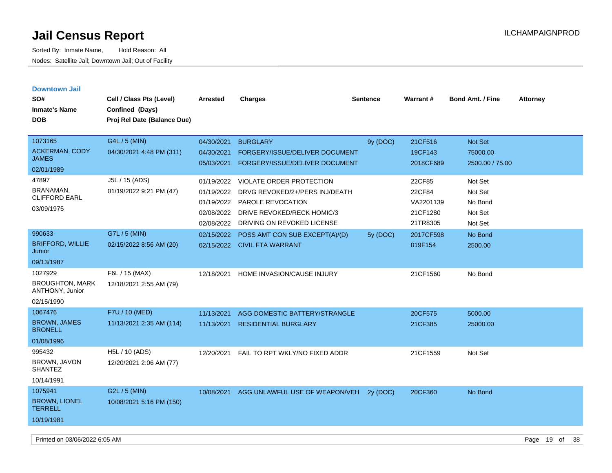| <b>Downtown Jail</b><br>SO#<br><b>Inmate's Name</b><br><b>DOB</b>  | Cell / Class Pts (Level)<br>Confined (Days)<br>Proj Rel Date (Balance Due) | Arrested                                                           | <b>Charges</b>                                                                                                                                     | <b>Sentence</b> | <b>Warrant#</b>                                       | <b>Bond Amt. / Fine</b>                             | <b>Attorney</b> |
|--------------------------------------------------------------------|----------------------------------------------------------------------------|--------------------------------------------------------------------|----------------------------------------------------------------------------------------------------------------------------------------------------|-----------------|-------------------------------------------------------|-----------------------------------------------------|-----------------|
| 1073165<br><b>ACKERMAN, CODY</b><br><b>JAMES</b><br>02/01/1989     | G4L / 5 (MIN)<br>04/30/2021 4:48 PM (311)                                  | 04/30/2021<br>04/30/2021<br>05/03/2021                             | <b>BURGLARY</b><br><b>FORGERY/ISSUE/DELIVER DOCUMENT</b><br>FORGERY/ISSUE/DELIVER DOCUMENT                                                         | 9y (DOC)        | 21CF516<br>19CF143<br>2018CF689                       | <b>Not Set</b><br>75000.00<br>2500.00 / 75.00       |                 |
| 47897<br>BRANAMAN,<br><b>CLIFFORD EARL</b><br>03/09/1975           | J5L / 15 (ADS)<br>01/19/2022 9:21 PM (47)                                  | 01/19/2022<br>01/19/2022<br>01/19/2022<br>02/08/2022<br>02/08/2022 | <b>VIOLATE ORDER PROTECTION</b><br>DRVG REVOKED/2+/PERS INJ/DEATH<br>PAROLE REVOCATION<br>DRIVE REVOKED/RECK HOMIC/3<br>DRIVING ON REVOKED LICENSE |                 | 22CF85<br>22CF84<br>VA2201139<br>21CF1280<br>21TR8305 | Not Set<br>Not Set<br>No Bond<br>Not Set<br>Not Set |                 |
| 990633<br><b>BRIFFORD, WILLIE</b><br>Junior<br>09/13/1987          | G7L / 5 (MIN)<br>02/15/2022 8:56 AM (20)                                   | 02/15/2022<br>02/15/2022                                           | POSS AMT CON SUB EXCEPT(A)/(D)<br><b>CIVIL FTA WARRANT</b>                                                                                         | 5y (DOC)        | 2017CF598<br>019F154                                  | No Bond<br>2500.00                                  |                 |
| 1027929<br><b>BROUGHTON, MARK</b><br>ANTHONY, Junior<br>02/15/1990 | F6L / 15 (MAX)<br>12/18/2021 2:55 AM (79)                                  | 12/18/2021                                                         | HOME INVASION/CAUSE INJURY                                                                                                                         |                 | 21CF1560                                              | No Bond                                             |                 |
| 1067476<br><b>BROWN, JAMES</b><br><b>BRONELL</b><br>01/08/1996     | F7U / 10 (MED)<br>11/13/2021 2:35 AM (114)                                 | 11/13/2021<br>11/13/2021                                           | AGG DOMESTIC BATTERY/STRANGLE<br><b>RESIDENTIAL BURGLARY</b>                                                                                       |                 | 20CF575<br>21CF385                                    | 5000.00<br>25000.00                                 |                 |
| 995432<br>BROWN, JAVON<br><b>SHANTEZ</b><br>10/14/1991             | H5L / 10 (ADS)<br>12/20/2021 2:06 AM (77)                                  | 12/20/2021                                                         | FAIL TO RPT WKLY/NO FIXED ADDR                                                                                                                     |                 | 21CF1559                                              | Not Set                                             |                 |
| 1075941<br><b>BROWN, LIONEL</b><br><b>TERRELL</b><br>10/19/1981    | G2L / 5 (MIN)<br>10/08/2021 5:16 PM (150)                                  | 10/08/2021                                                         | AGG UNLAWFUL USE OF WEAPON/VEH                                                                                                                     | 2y (DOC)        | 20CF360                                               | No Bond                                             |                 |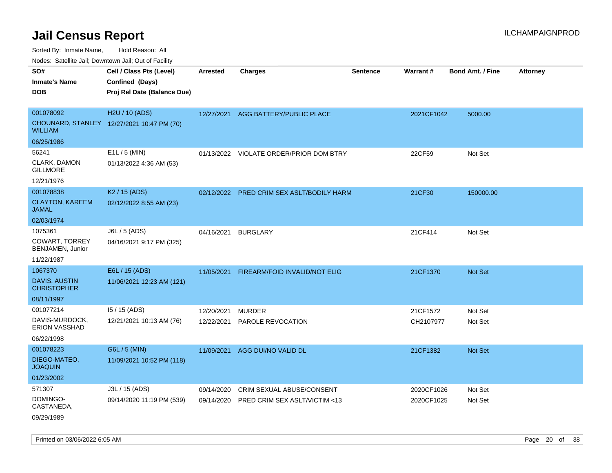Sorted By: Inmate Name, Hold Reason: All

Nodes: Satellite Jail; Downtown Jail; Out of Facility

| SO#<br><b>Inmate's Name</b>                | Cell / Class Pts (Level)<br>Confined (Days) | <b>Arrested</b> | <b>Charges</b>                            | Sentence | Warrant#   | Bond Amt. / Fine | <b>Attorney</b> |
|--------------------------------------------|---------------------------------------------|-----------------|-------------------------------------------|----------|------------|------------------|-----------------|
| <b>DOB</b>                                 | Proj Rel Date (Balance Due)                 |                 |                                           |          |            |                  |                 |
| 001078092                                  | H2U / 10 (ADS)                              | 12/27/2021      | AGG BATTERY/PUBLIC PLACE                  |          | 2021CF1042 | 5000.00          |                 |
| <b>WILLIAM</b>                             | CHOUNARD, STANLEY 12/27/2021 10:47 PM (70)  |                 |                                           |          |            |                  |                 |
| 06/25/1986                                 |                                             |                 |                                           |          |            |                  |                 |
| 56241                                      | $E1L / 5$ (MIN)                             |                 | 01/13/2022 VIOLATE ORDER/PRIOR DOM BTRY   |          | 22CF59     | Not Set          |                 |
| CLARK, DAMON<br><b>GILLMORE</b>            | 01/13/2022 4:36 AM (53)                     |                 |                                           |          |            |                  |                 |
| 12/21/1976                                 |                                             |                 |                                           |          |            |                  |                 |
| 001078838                                  | K <sub>2</sub> / 15 (ADS)                   |                 | 02/12/2022 PRED CRIM SEX ASLT/BODILY HARM |          | 21CF30     | 150000.00        |                 |
| <b>CLAYTON, KAREEM</b><br><b>JAMAL</b>     | 02/12/2022 8:55 AM (23)                     |                 |                                           |          |            |                  |                 |
| 02/03/1974                                 |                                             |                 |                                           |          |            |                  |                 |
| 1075361                                    | J6L / 5 (ADS)                               | 04/16/2021      | <b>BURGLARY</b>                           |          | 21CF414    | Not Set          |                 |
| COWART, TORREY<br>BENJAMEN, Junior         | 04/16/2021 9:17 PM (325)                    |                 |                                           |          |            |                  |                 |
| 11/22/1987                                 |                                             |                 |                                           |          |            |                  |                 |
| 1067370                                    | E6L / 15 (ADS)                              | 11/05/2021      | FIREARM/FOID INVALID/NOT ELIG             |          | 21CF1370   | Not Set          |                 |
| <b>DAVIS, AUSTIN</b><br><b>CHRISTOPHER</b> | 11/06/2021 12:23 AM (121)                   |                 |                                           |          |            |                  |                 |
| 08/11/1997                                 |                                             |                 |                                           |          |            |                  |                 |
| 001077214                                  | 15 / 15 (ADS)                               | 12/20/2021      | <b>MURDER</b>                             |          | 21CF1572   | Not Set          |                 |
| DAVIS-MURDOCK,<br><b>ERION VASSHAD</b>     | 12/21/2021 10:13 AM (76)                    | 12/22/2021      | PAROLE REVOCATION                         |          | CH2107977  | Not Set          |                 |
| 06/22/1998                                 |                                             |                 |                                           |          |            |                  |                 |
| 001078223                                  | G6L / 5 (MIN)                               | 11/09/2021      | AGG DUI/NO VALID DL                       |          | 21CF1382   | Not Set          |                 |
| DIEGO-MATEO,<br><b>JOAQUIN</b>             | 11/09/2021 10:52 PM (118)                   |                 |                                           |          |            |                  |                 |
| 01/23/2002                                 |                                             |                 |                                           |          |            |                  |                 |
| 571307                                     | J3L / 15 (ADS)                              | 09/14/2020      | CRIM SEXUAL ABUSE/CONSENT                 |          | 2020CF1026 | Not Set          |                 |
| DOMINGO-<br>CASTANEDA,                     | 09/14/2020 11:19 PM (539)                   | 09/14/2020      | PRED CRIM SEX ASLT/VICTIM <13             |          | 2020CF1025 | Not Set          |                 |
| 09/29/1989                                 |                                             |                 |                                           |          |            |                  |                 |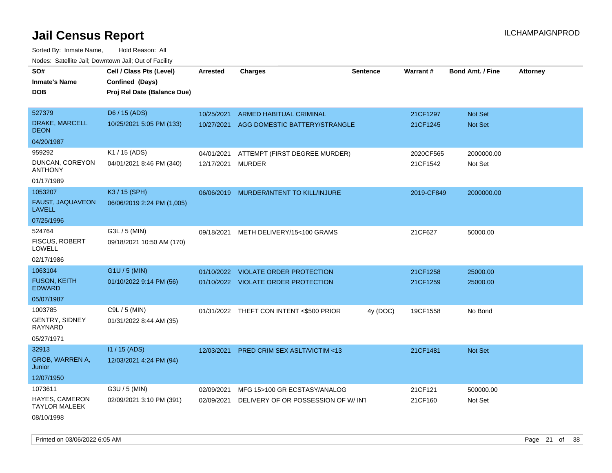| rougs. Calcing Jan, Downtown Jan, Out of Facinty |                             |                 |                                          |                 |            |                         |                 |
|--------------------------------------------------|-----------------------------|-----------------|------------------------------------------|-----------------|------------|-------------------------|-----------------|
| SO#                                              | Cell / Class Pts (Level)    | <b>Arrested</b> | <b>Charges</b>                           | <b>Sentence</b> | Warrant#   | <b>Bond Amt. / Fine</b> | <b>Attorney</b> |
| <b>Inmate's Name</b>                             | Confined (Days)             |                 |                                          |                 |            |                         |                 |
| <b>DOB</b>                                       | Proj Rel Date (Balance Due) |                 |                                          |                 |            |                         |                 |
|                                                  |                             |                 |                                          |                 |            |                         |                 |
| 527379                                           | D6 / 15 (ADS)               | 10/25/2021      | ARMED HABITUAL CRIMINAL                  |                 | 21CF1297   | Not Set                 |                 |
| DRAKE, MARCELL<br><b>DEON</b>                    | 10/25/2021 5:05 PM (133)    | 10/27/2021      | AGG DOMESTIC BATTERY/STRANGLE            |                 | 21CF1245   | <b>Not Set</b>          |                 |
| 04/20/1987                                       |                             |                 |                                          |                 |            |                         |                 |
| 959292                                           | K1 / 15 (ADS)               | 04/01/2021      | ATTEMPT (FIRST DEGREE MURDER)            |                 | 2020CF565  | 2000000.00              |                 |
| DUNCAN, COREYON<br><b>ANTHONY</b>                | 04/01/2021 8:46 PM (340)    | 12/17/2021      | <b>MURDER</b>                            |                 | 21CF1542   | Not Set                 |                 |
| 01/17/1989                                       |                             |                 |                                          |                 |            |                         |                 |
| 1053207                                          | K3 / 15 (SPH)               |                 | 06/06/2019 MURDER/INTENT TO KILL/INJURE  |                 | 2019-CF849 | 2000000.00              |                 |
| FAUST, JAQUAVEON<br><b>LAVELL</b>                | 06/06/2019 2:24 PM (1,005)  |                 |                                          |                 |            |                         |                 |
| 07/25/1996                                       |                             |                 |                                          |                 |            |                         |                 |
| 524764                                           | G3L / 5 (MIN)               | 09/18/2021      | METH DELIVERY/15<100 GRAMS               |                 | 21CF627    | 50000.00                |                 |
| <b>FISCUS, ROBERT</b><br><b>LOWELL</b>           | 09/18/2021 10:50 AM (170)   |                 |                                          |                 |            |                         |                 |
| 02/17/1986                                       |                             |                 |                                          |                 |            |                         |                 |
| 1063104                                          | $G1U / 5$ (MIN)             | 01/10/2022      | VIOLATE ORDER PROTECTION                 |                 | 21CF1258   | 25000.00                |                 |
| <b>FUSON, KEITH</b><br><b>EDWARD</b>             | 01/10/2022 9:14 PM (56)     |                 | 01/10/2022 VIOLATE ORDER PROTECTION      |                 | 21CF1259   | 25000.00                |                 |
| 05/07/1987                                       |                             |                 |                                          |                 |            |                         |                 |
| 1003785                                          | C9L / 5 (MIN)               |                 | 01/31/2022 THEFT CON INTENT <\$500 PRIOR | 4y (DOC)        | 19CF1558   | No Bond                 |                 |
| <b>GENTRY, SIDNEY</b><br>RAYNARD                 | 01/31/2022 8:44 AM (35)     |                 |                                          |                 |            |                         |                 |
| 05/27/1971                                       |                             |                 |                                          |                 |            |                         |                 |
| 32913                                            | $11/15$ (ADS)               | 12/03/2021      | PRED CRIM SEX ASLT/VICTIM <13            |                 | 21CF1481   | Not Set                 |                 |
| GROB, WARREN A,<br>Junior                        | 12/03/2021 4:24 PM (94)     |                 |                                          |                 |            |                         |                 |
| 12/07/1950                                       |                             |                 |                                          |                 |            |                         |                 |
| 1073611                                          | G3U / 5 (MIN)               | 02/09/2021      | MFG 15>100 GR ECSTASY/ANALOG             |                 | 21CF121    | 500000.00               |                 |
| HAYES, CAMERON<br><b>TAYLOR MALEEK</b>           | 02/09/2021 3:10 PM (391)    | 02/09/2021      | DELIVERY OF OR POSSESSION OF W/INT       |                 | 21CF160    | Not Set                 |                 |
| 08/10/1998                                       |                             |                 |                                          |                 |            |                         |                 |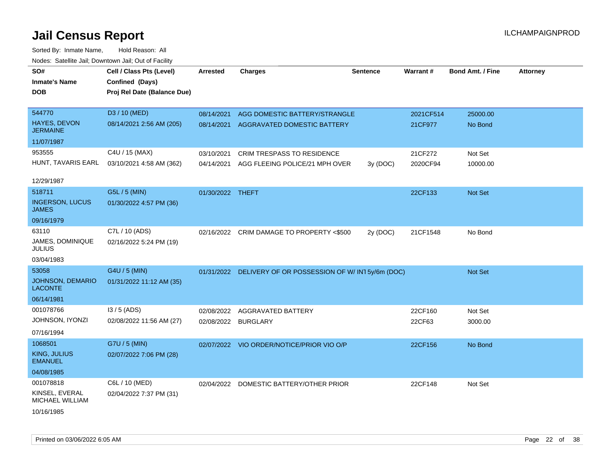| SO#<br><b>Inmate's Name</b><br><b>DOB</b> | Cell / Class Pts (Level)<br>Confined (Days)<br>Proj Rel Date (Balance Due) | <b>Arrested</b>  | <b>Charges</b>                                           | <b>Sentence</b> | Warrant#  | <b>Bond Amt. / Fine</b> | <b>Attorney</b> |
|-------------------------------------------|----------------------------------------------------------------------------|------------------|----------------------------------------------------------|-----------------|-----------|-------------------------|-----------------|
|                                           |                                                                            |                  |                                                          |                 |           |                         |                 |
| 544770                                    | D3 / 10 (MED)                                                              | 08/14/2021       | AGG DOMESTIC BATTERY/STRANGLE                            |                 | 2021CF514 | 25000.00                |                 |
| HAYES, DEVON<br><b>JERMAINE</b>           | 08/14/2021 2:56 AM (205)                                                   | 08/14/2021       | AGGRAVATED DOMESTIC BATTERY                              |                 | 21CF977   | No Bond                 |                 |
| 11/07/1987                                |                                                                            |                  |                                                          |                 |           |                         |                 |
| 953555                                    | C4U / 15 (MAX)                                                             | 03/10/2021       | CRIM TRESPASS TO RESIDENCE                               |                 | 21CF272   | Not Set                 |                 |
| HUNT, TAVARIS EARL                        | 03/10/2021 4:58 AM (362)                                                   | 04/14/2021       | AGG FLEEING POLICE/21 MPH OVER                           | 3y (DOC)        | 2020CF94  | 10000.00                |                 |
| 12/29/1987                                |                                                                            |                  |                                                          |                 |           |                         |                 |
| 518711                                    | G5L / 5 (MIN)                                                              | 01/30/2022 THEFT |                                                          |                 | 22CF133   | Not Set                 |                 |
| <b>INGERSON, LUCUS</b><br><b>JAMES</b>    | 01/30/2022 4:57 PM (36)                                                    |                  |                                                          |                 |           |                         |                 |
| 09/16/1979                                |                                                                            |                  |                                                          |                 |           |                         |                 |
| 63110                                     | C7L / 10 (ADS)                                                             |                  | 02/16/2022 CRIM DAMAGE TO PROPERTY <\$500                | 2y (DOC)        | 21CF1548  | No Bond                 |                 |
| JAMES, DOMINIQUE<br><b>JULIUS</b>         | 02/16/2022 5:24 PM (19)                                                    |                  |                                                          |                 |           |                         |                 |
| 03/04/1983                                |                                                                            |                  |                                                          |                 |           |                         |                 |
| 53058                                     | G4U / 5 (MIN)                                                              |                  | 01/31/2022 DELIVERY OF OR POSSESSION OF W/IN15y/6m (DOC) |                 |           | Not Set                 |                 |
| <b>JOHNSON, DEMARIO</b><br><b>LACONTE</b> | 01/31/2022 11:12 AM (35)                                                   |                  |                                                          |                 |           |                         |                 |
| 06/14/1981                                |                                                                            |                  |                                                          |                 |           |                         |                 |
| 001078766                                 | $13/5$ (ADS)                                                               | 02/08/2022       | <b>AGGRAVATED BATTERY</b>                                |                 | 22CF160   | Not Set                 |                 |
| JOHNSON, IYONZI                           | 02/08/2022 11:56 AM (27)                                                   | 02/08/2022       | <b>BURGLARY</b>                                          |                 | 22CF63    | 3000.00                 |                 |
| 07/16/1994                                |                                                                            |                  |                                                          |                 |           |                         |                 |
| 1068501                                   | G7U / 5 (MIN)                                                              |                  | 02/07/2022 VIO ORDER/NOTICE/PRIOR VIO O/P                |                 | 22CF156   | No Bond                 |                 |
| <b>KING, JULIUS</b><br><b>EMANUEL</b>     | 02/07/2022 7:06 PM (28)                                                    |                  |                                                          |                 |           |                         |                 |
| 04/08/1985                                |                                                                            |                  |                                                          |                 |           |                         |                 |
| 001078818                                 | C6L / 10 (MED)                                                             | 02/04/2022       | DOMESTIC BATTERY/OTHER PRIOR                             |                 | 22CF148   | Not Set                 |                 |
| KINSEL, EVERAL<br>MICHAEL WILLIAM         | 02/04/2022 7:37 PM (31)                                                    |                  |                                                          |                 |           |                         |                 |
| 10/16/1985                                |                                                                            |                  |                                                          |                 |           |                         |                 |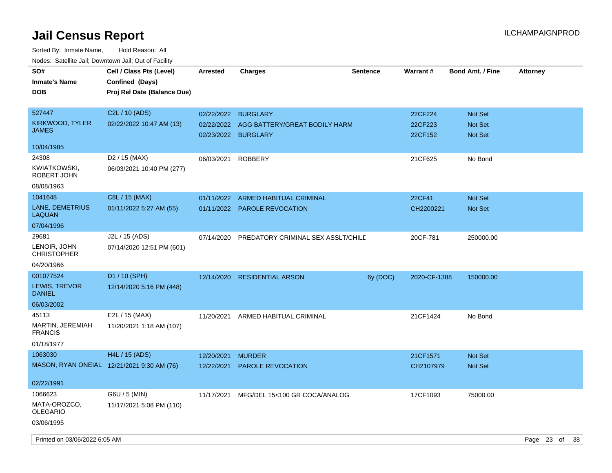| SO#<br><b>Inmate's Name</b><br><b>DOB</b> | Cell / Class Pts (Level)<br>Confined (Days)<br>Proj Rel Date (Balance Due) | <b>Arrested</b> | Charges                                              | <b>Sentence</b> | <b>Warrant#</b>    | <b>Bond Amt. / Fine</b>          | <b>Attorney</b> |
|-------------------------------------------|----------------------------------------------------------------------------|-----------------|------------------------------------------------------|-----------------|--------------------|----------------------------------|-----------------|
| 527447                                    | C2L / 10 (ADS)                                                             | 02/22/2022      | <b>BURGLARY</b>                                      |                 | 22CF224            | <b>Not Set</b>                   |                 |
| KIRKWOOD, TYLER<br><b>JAMES</b>           | 02/22/2022 10:47 AM (13)                                                   | 02/22/2022      | AGG BATTERY/GREAT BODILY HARM<br>02/23/2022 BURGLARY |                 | 22CF223<br>22CF152 | <b>Not Set</b><br><b>Not Set</b> |                 |
| 10/04/1985                                |                                                                            |                 |                                                      |                 |                    |                                  |                 |
| 24308                                     | D <sub>2</sub> / 15 (MAX)                                                  | 06/03/2021      | <b>ROBBERY</b>                                       |                 | 21CF625            | No Bond                          |                 |
| KWIATKOWSKI,<br>ROBERT JOHN               | 06/03/2021 10:40 PM (277)                                                  |                 |                                                      |                 |                    |                                  |                 |
| 08/08/1963                                |                                                                            |                 |                                                      |                 |                    |                                  |                 |
| 1041648                                   | C8L / 15 (MAX)                                                             | 01/11/2022      | <b>ARMED HABITUAL CRIMINAL</b>                       |                 | 22CF41             | <b>Not Set</b>                   |                 |
| LANE, DEMETRIUS<br>LAQUAN                 | 01/11/2022 5:27 AM (55)                                                    | 01/11/2022      | <b>PAROLE REVOCATION</b>                             |                 | CH2200221          | <b>Not Set</b>                   |                 |
| 07/04/1996                                |                                                                            |                 |                                                      |                 |                    |                                  |                 |
| 29681                                     | J2L / 15 (ADS)                                                             | 07/14/2020      | PREDATORY CRIMINAL SEX ASSLT/CHILD                   |                 | 20CF-781           | 250000.00                        |                 |
| LENOIR, JOHN<br><b>CHRISTOPHER</b>        | 07/14/2020 12:51 PM (601)                                                  |                 |                                                      |                 |                    |                                  |                 |
| 04/20/1966                                |                                                                            |                 |                                                      |                 |                    |                                  |                 |
| 001077524                                 | D1 / 10 (SPH)                                                              | 12/14/2020      | <b>RESIDENTIAL ARSON</b>                             | 6y (DOC)        | 2020-CF-1388       | 150000.00                        |                 |
| LEWIS, TREVOR<br><b>DANIEL</b>            | 12/14/2020 5:16 PM (448)                                                   |                 |                                                      |                 |                    |                                  |                 |
| 06/03/2002                                |                                                                            |                 |                                                      |                 |                    |                                  |                 |
| 45113                                     | E2L / 15 (MAX)                                                             | 11/20/2021      | ARMED HABITUAL CRIMINAL                              |                 | 21CF1424           | No Bond                          |                 |
| MARTIN, JEREMIAH<br><b>FRANCIS</b>        | 11/20/2021 1:18 AM (107)                                                   |                 |                                                      |                 |                    |                                  |                 |
| 01/18/1977                                |                                                                            |                 |                                                      |                 |                    |                                  |                 |
| 1063030                                   | H4L / 15 (ADS)                                                             | 12/20/2021      | <b>MURDER</b>                                        |                 | 21CF1571           | <b>Not Set</b>                   |                 |
|                                           | MASON, RYAN ONEIAL 12/21/2021 9:30 AM (76)                                 | 12/22/2021      | <b>PAROLE REVOCATION</b>                             |                 | CH2107979          | Not Set                          |                 |
| 02/22/1991                                |                                                                            |                 |                                                      |                 |                    |                                  |                 |
| 1066623                                   | G6U / 5 (MIN)                                                              | 11/17/2021      | MFG/DEL 15<100 GR COCA/ANALOG                        |                 | 17CF1093           | 75000.00                         |                 |
| MATA-OROZCO,<br><b>OLEGARIO</b>           | 11/17/2021 5:08 PM (110)                                                   |                 |                                                      |                 |                    |                                  |                 |
| 03/06/1995                                |                                                                            |                 |                                                      |                 |                    |                                  |                 |
| Printed on 03/06/2022 6:05 AM             |                                                                            |                 |                                                      |                 |                    |                                  | Page 23 of 38   |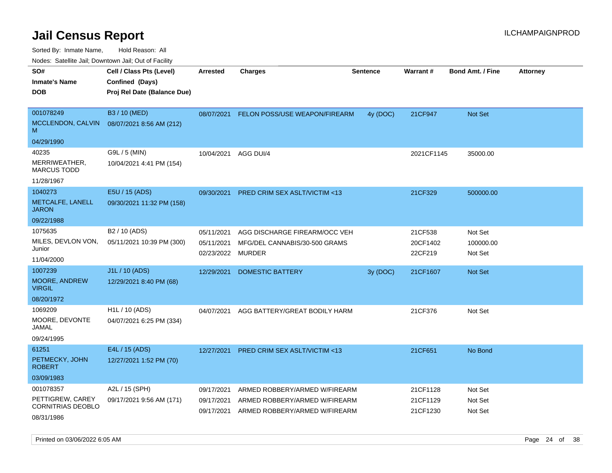Sorted By: Inmate Name, Hold Reason: All

Nodes: Satellite Jail; Downtown Jail; Out of Facility

| roaco. Calcinio dan, Downtown dan, Out or Fability |                             |                 |                               |                 |            |                         |                 |
|----------------------------------------------------|-----------------------------|-----------------|-------------------------------|-----------------|------------|-------------------------|-----------------|
| SO#                                                | Cell / Class Pts (Level)    | <b>Arrested</b> | <b>Charges</b>                | <b>Sentence</b> | Warrant#   | <b>Bond Amt. / Fine</b> | <b>Attorney</b> |
| <b>Inmate's Name</b>                               | Confined (Days)             |                 |                               |                 |            |                         |                 |
| <b>DOB</b>                                         | Proj Rel Date (Balance Due) |                 |                               |                 |            |                         |                 |
|                                                    |                             |                 |                               |                 |            |                         |                 |
| 001078249                                          | B3 / 10 (MED)               | 08/07/2021      | FELON POSS/USE WEAPON/FIREARM | 4y (DOC)        | 21CF947    | Not Set                 |                 |
| MCCLENDON, CALVIN<br>M                             | 08/07/2021 8:56 AM (212)    |                 |                               |                 |            |                         |                 |
| 04/29/1990                                         |                             |                 |                               |                 |            |                         |                 |
| 40235                                              | G9L / 5 (MIN)               | 10/04/2021      | AGG DUI/4                     |                 | 2021CF1145 | 35000.00                |                 |
| MERRIWEATHER,<br><b>MARCUS TODD</b>                | 10/04/2021 4:41 PM (154)    |                 |                               |                 |            |                         |                 |
| 11/28/1967                                         |                             |                 |                               |                 |            |                         |                 |
| 1040273                                            | E5U / 15 (ADS)              | 09/30/2021      | PRED CRIM SEX ASLT/VICTIM <13 |                 | 21CF329    | 500000.00               |                 |
| METCALFE, LANELL<br><b>JARON</b>                   | 09/30/2021 11:32 PM (158)   |                 |                               |                 |            |                         |                 |
| 09/22/1988                                         |                             |                 |                               |                 |            |                         |                 |
| 1075635                                            | B <sub>2</sub> / 10 (ADS)   | 05/11/2021      | AGG DISCHARGE FIREARM/OCC VEH |                 | 21CF538    | Not Set                 |                 |
| MILES, DEVLON VON,                                 | 05/11/2021 10:39 PM (300)   | 05/11/2021      | MFG/DEL CANNABIS/30-500 GRAMS |                 | 20CF1402   | 100000.00               |                 |
| Junior                                             |                             | 02/23/2022      | MURDER                        |                 | 22CF219    | Not Set                 |                 |
| 11/04/2000                                         |                             |                 |                               |                 |            |                         |                 |
| 1007239                                            | J1L / 10 (ADS)              | 12/29/2021      | <b>DOMESTIC BATTERY</b>       | 3y (DOC)        | 21CF1607   | <b>Not Set</b>          |                 |
| MOORE, ANDREW<br><b>VIRGIL</b>                     | 12/29/2021 8:40 PM (68)     |                 |                               |                 |            |                         |                 |
| 08/20/1972                                         |                             |                 |                               |                 |            |                         |                 |
| 1069209                                            | H1L / 10 (ADS)              | 04/07/2021      | AGG BATTERY/GREAT BODILY HARM |                 | 21CF376    | Not Set                 |                 |
| MOORE, DEVONTE<br>JAMAL                            | 04/07/2021 6:25 PM (334)    |                 |                               |                 |            |                         |                 |
| 09/24/1995                                         |                             |                 |                               |                 |            |                         |                 |
| 61251                                              | E4L / 15 (ADS)              | 12/27/2021      | PRED CRIM SEX ASLT/VICTIM <13 |                 | 21CF651    | No Bond                 |                 |
| PETMECKY, JOHN<br><b>ROBERT</b>                    | 12/27/2021 1:52 PM (70)     |                 |                               |                 |            |                         |                 |
| 03/09/1983                                         |                             |                 |                               |                 |            |                         |                 |
| 001078357                                          | A2L / 15 (SPH)              | 09/17/2021      | ARMED ROBBERY/ARMED W/FIREARM |                 | 21CF1128   | Not Set                 |                 |
| PETTIGREW, CAREY                                   | 09/17/2021 9:56 AM (171)    | 09/17/2021      | ARMED ROBBERY/ARMED W/FIREARM |                 | 21CF1129   | Not Set                 |                 |
| <b>CORNITRIAS DEOBLO</b>                           |                             | 09/17/2021      | ARMED ROBBERY/ARMED W/FIREARM |                 | 21CF1230   | Not Set                 |                 |
| 08/31/1986                                         |                             |                 |                               |                 |            |                         |                 |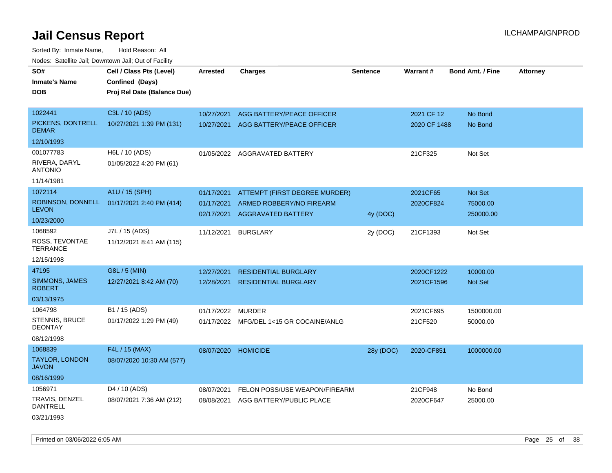Sorted By: Inmate Name, Hold Reason: All Nodes: Satellite Jail; Downtown Jail; Out of Facility

| roaco. Calcinio dan, Downtown dan, Out or Fability |                             |                     |                                         |                 |              |                         |                 |
|----------------------------------------------------|-----------------------------|---------------------|-----------------------------------------|-----------------|--------------|-------------------------|-----------------|
| SO#                                                | Cell / Class Pts (Level)    | <b>Arrested</b>     | <b>Charges</b>                          | <b>Sentence</b> | Warrant#     | <b>Bond Amt. / Fine</b> | <b>Attorney</b> |
| <b>Inmate's Name</b>                               | Confined (Days)             |                     |                                         |                 |              |                         |                 |
| <b>DOB</b>                                         | Proj Rel Date (Balance Due) |                     |                                         |                 |              |                         |                 |
|                                                    |                             |                     |                                         |                 |              |                         |                 |
| 1022441                                            | C3L / 10 (ADS)              | 10/27/2021          | AGG BATTERY/PEACE OFFICER               |                 | 2021 CF 12   | No Bond                 |                 |
| PICKENS, DONTRELL<br><b>DEMAR</b>                  | 10/27/2021 1:39 PM (131)    |                     | 10/27/2021 AGG BATTERY/PEACE OFFICER    |                 | 2020 CF 1488 | No Bond                 |                 |
| 12/10/1993                                         |                             |                     |                                         |                 |              |                         |                 |
| 001077783                                          | H6L / 10 (ADS)              |                     | 01/05/2022 AGGRAVATED BATTERY           |                 | 21CF325      | Not Set                 |                 |
| RIVERA, DARYL<br><b>ANTONIO</b>                    | 01/05/2022 4:20 PM (61)     |                     |                                         |                 |              |                         |                 |
| 11/14/1981                                         |                             |                     |                                         |                 |              |                         |                 |
| 1072114                                            | A1U / 15 (SPH)              | 01/17/2021          | ATTEMPT (FIRST DEGREE MURDER)           |                 | 2021CF65     | Not Set                 |                 |
| ROBINSON, DONNELL                                  | 01/17/2021 2:40 PM (414)    | 01/17/2021          | ARMED ROBBERY/NO FIREARM                |                 | 2020CF824    | 75000.00                |                 |
| <b>LEVON</b>                                       |                             | 02/17/2021          | <b>AGGRAVATED BATTERY</b>               | 4y (DOC)        |              | 250000.00               |                 |
| 10/23/2000                                         |                             |                     |                                         |                 |              |                         |                 |
| 1068592                                            | J7L / 15 (ADS)              | 11/12/2021          | <b>BURGLARY</b>                         | 2y (DOC)        | 21CF1393     | Not Set                 |                 |
| ROSS, TEVONTAE<br><b>TERRANCE</b>                  | 11/12/2021 8:41 AM (115)    |                     |                                         |                 |              |                         |                 |
| 12/15/1998                                         |                             |                     |                                         |                 |              |                         |                 |
| 47195                                              | G8L / 5 (MIN)               | 12/27/2021          | <b>RESIDENTIAL BURGLARY</b>             |                 | 2020CF1222   | 10000.00                |                 |
| <b>SIMMONS, JAMES</b><br><b>ROBERT</b>             | 12/27/2021 8:42 AM (70)     | 12/28/2021          | <b>RESIDENTIAL BURGLARY</b>             |                 | 2021CF1596   | Not Set                 |                 |
| 03/13/1975                                         |                             |                     |                                         |                 |              |                         |                 |
| 1064798                                            | B1 / 15 (ADS)               | 01/17/2022          | MURDER                                  |                 | 2021CF695    | 1500000.00              |                 |
| <b>STENNIS, BRUCE</b><br><b>DEONTAY</b>            | 01/17/2022 1:29 PM (49)     |                     | 01/17/2022 MFG/DEL 1<15 GR COCAINE/ANLG |                 | 21CF520      | 50000.00                |                 |
| 08/12/1998                                         |                             |                     |                                         |                 |              |                         |                 |
| 1068839                                            | F4L / 15 (MAX)              | 08/07/2020 HOMICIDE |                                         | 28y (DOC)       | 2020-CF851   | 1000000.00              |                 |
| <b>TAYLOR, LONDON</b><br><b>JAVON</b>              | 08/07/2020 10:30 AM (577)   |                     |                                         |                 |              |                         |                 |
| 08/16/1999                                         |                             |                     |                                         |                 |              |                         |                 |
| 1056971                                            | D <sub>4</sub> / 10 (ADS)   | 08/07/2021          | FELON POSS/USE WEAPON/FIREARM           |                 | 21CF948      | No Bond                 |                 |
| TRAVIS, DENZEL<br><b>DANTRELL</b>                  | 08/07/2021 7:36 AM (212)    | 08/08/2021          | AGG BATTERY/PUBLIC PLACE                |                 | 2020CF647    | 25000.00                |                 |
| 03/21/1993                                         |                             |                     |                                         |                 |              |                         |                 |

Printed on 03/06/2022 6:05 AM Page 25 of 38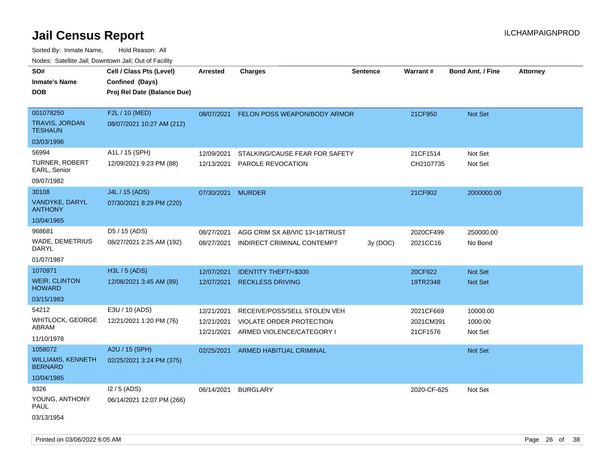| roaco. Catolino cali, Domntonn cali, Out of Facility                       |                                                                            |                                        |                                                                                       |                 |                                    |                                  |                 |
|----------------------------------------------------------------------------|----------------------------------------------------------------------------|----------------------------------------|---------------------------------------------------------------------------------------|-----------------|------------------------------------|----------------------------------|-----------------|
| SO#<br><b>Inmate's Name</b><br><b>DOB</b>                                  | Cell / Class Pts (Level)<br>Confined (Days)<br>Proj Rel Date (Balance Due) | <b>Arrested</b>                        | Charges                                                                               | <b>Sentence</b> | <b>Warrant#</b>                    | <b>Bond Amt. / Fine</b>          | <b>Attorney</b> |
| 001078250<br>TRAVIS, JORDAN<br><b>TESHAUN</b>                              | F2L / 10 (MED)<br>08/07/2021 10:27 AM (212)                                |                                        | 08/07/2021 FELON POSS WEAPON/BODY ARMOR                                               |                 | 21CF950                            | Not Set                          |                 |
| 03/03/1996<br>56994<br><b>TURNER, ROBERT</b><br>EARL, Senior<br>09/07/1982 | A1L / 15 (SPH)<br>12/09/2021 9:23 PM (88)                                  | 12/09/2021<br>12/13/2021               | STALKING/CAUSE FEAR FOR SAFETY<br><b>PAROLE REVOCATION</b>                            |                 | 21CF1514<br>CH2107735              | Not Set<br>Not Set               |                 |
| 30108<br>VANDYKE, DARYL<br><b>ANTHONY</b>                                  | J4L / 15 (ADS)<br>07/30/2021 8:29 PM (220)                                 | 07/30/2021 MURDER                      |                                                                                       |                 | 21CF902                            | 2000000.00                       |                 |
| 10/04/1965<br>968681<br>WADE, DEMETRIUS<br>DARYL<br>01/07/1987             | D5 / 15 (ADS)<br>08/27/2021 2:25 AM (192)                                  | 08/27/2021<br>08/27/2021               | AGG CRIM SX AB/VIC 13<18/TRUST<br>INDIRECT CRIMINAL CONTEMPT                          | 3y (DOC)        | 2020CF499<br>2021CC16              | 250000.00<br>No Bond             |                 |
| 1070971<br><b>WEIR, CLINTON</b><br><b>HOWARD</b><br>03/15/1983             | H3L / 5 (ADS)<br>12/08/2021 3:45 AM (89)                                   | 12/07/2021<br>12/07/2021               | <b>IDENTITY THEFT/&lt;\$300</b><br><b>RECKLESS DRIVING</b>                            |                 | 20CF922<br>19TR2348                | <b>Not Set</b><br><b>Not Set</b> |                 |
| 54212<br>WHITLOCK, GEORGE<br>ABRAM<br>11/10/1978                           | E3U / 10 (ADS)<br>12/21/2021 1:20 PM (76)                                  | 12/21/2021<br>12/21/2021<br>12/21/2021 | RECEIVE/POSS/SELL STOLEN VEH<br>VIOLATE ORDER PROTECTION<br>ARMED VIOLENCE/CATEGORY I |                 | 2021CF669<br>2021CM391<br>21CF1576 | 10000.00<br>1000.00<br>Not Set   |                 |
| 1058072<br><b>WILLIAMS, KENNETH</b><br><b>BERNARD</b><br>10/04/1985        | A2U / 15 (SPH)<br>02/25/2021 3:24 PM (375)                                 | 02/25/2021                             | ARMED HABITUAL CRIMINAL                                                               |                 |                                    | <b>Not Set</b>                   |                 |
| 9326<br>YOUNG, ANTHONY<br>PAUL<br>03/13/1954                               | $12/5$ (ADS)<br>06/14/2021 12:07 PM (266)                                  | 06/14/2021                             | <b>BURGLARY</b>                                                                       |                 | 2020-CF-625                        | Not Set                          |                 |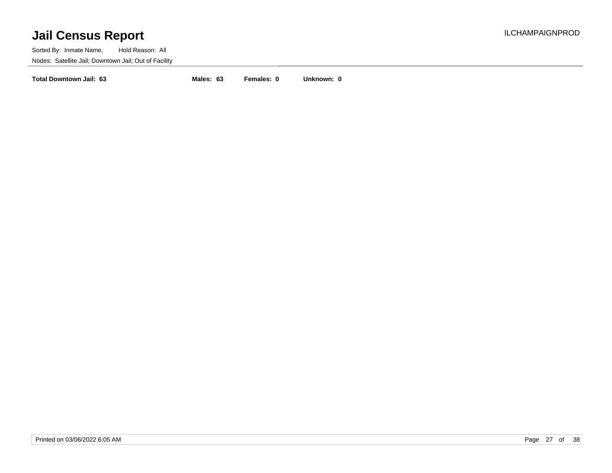Sorted By: Inmate Name, Hold Reason: All Nodes: Satellite Jail; Downtown Jail; Out of Facility

**Total Downtown Jail: 63 Males: 63 Females: 0 Unknown: 0**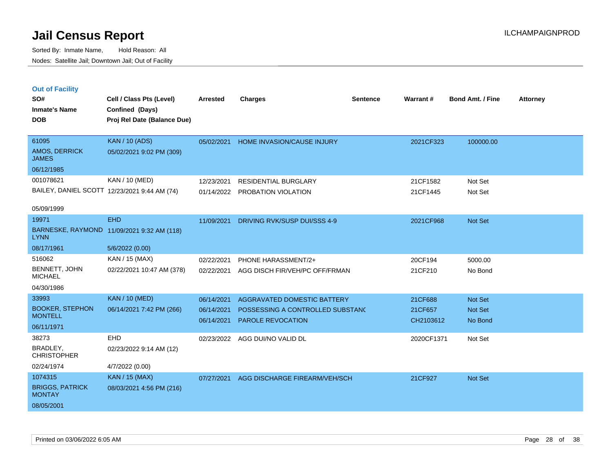**CHRISTOPHER** 

BRIGGS, PATRICK

**MONTAY** 

08/05/2001

Sorted By: Inmate Name, Hold Reason: All Nodes: Satellite Jail; Downtown Jail; Out of Facility

| <b>Out of Facility</b>                       |                                            |                 |                                   |                 |            |                         |                 |
|----------------------------------------------|--------------------------------------------|-----------------|-----------------------------------|-----------------|------------|-------------------------|-----------------|
| SO#                                          | Cell / Class Pts (Level)                   | <b>Arrested</b> | <b>Charges</b>                    | <b>Sentence</b> | Warrant#   | <b>Bond Amt. / Fine</b> | <b>Attorney</b> |
| <b>Inmate's Name</b>                         | Confined (Days)                            |                 |                                   |                 |            |                         |                 |
| <b>DOB</b>                                   | Proj Rel Date (Balance Due)                |                 |                                   |                 |            |                         |                 |
|                                              |                                            |                 |                                   |                 |            |                         |                 |
| 61095                                        | <b>KAN / 10 (ADS)</b>                      | 05/02/2021      | <b>HOME INVASION/CAUSE INJURY</b> |                 | 2021CF323  | 100000.00               |                 |
| <b>AMOS, DERRICK</b><br><b>JAMES</b>         | 05/02/2021 9:02 PM (309)                   |                 |                                   |                 |            |                         |                 |
| 06/12/1985                                   |                                            |                 |                                   |                 |            |                         |                 |
| 001078621                                    | KAN / 10 (MED)                             | 12/23/2021      | <b>RESIDENTIAL BURGLARY</b>       |                 | 21CF1582   | Not Set                 |                 |
| BAILEY, DANIEL SCOTT 12/23/2021 9:44 AM (74) |                                            | 01/14/2022      | PROBATION VIOLATION               |                 | 21CF1445   | Not Set                 |                 |
|                                              |                                            |                 |                                   |                 |            |                         |                 |
| 05/09/1999                                   |                                            |                 |                                   |                 |            |                         |                 |
| 19971                                        | <b>EHD</b>                                 | 11/09/2021      | DRIVING RVK/SUSP DUI/SSS 4-9      |                 | 2021CF968  | Not Set                 |                 |
| <b>LYNN</b>                                  | BARNESKE, RAYMOND 11/09/2021 9:32 AM (118) |                 |                                   |                 |            |                         |                 |
| 08/17/1961                                   | 5/6/2022 (0.00)                            |                 |                                   |                 |            |                         |                 |
| 516062                                       | KAN / 15 (MAX)                             | 02/22/2021      | PHONE HARASSMENT/2+               |                 | 20CF194    | 5000.00                 |                 |
| BENNETT, JOHN<br><b>MICHAEL</b>              | 02/22/2021 10:47 AM (378)                  | 02/22/2021      | AGG DISCH FIR/VEH/PC OFF/FRMAN    |                 | 21CF210    | No Bond                 |                 |
| 04/30/1986                                   |                                            |                 |                                   |                 |            |                         |                 |
| 33993                                        | <b>KAN / 10 (MED)</b>                      | 06/14/2021      | AGGRAVATED DOMESTIC BATTERY       |                 | 21CF688    | Not Set                 |                 |
| <b>BOOKER, STEPHON</b><br><b>MONTELL</b>     | 06/14/2021 7:42 PM (266)                   | 06/14/2021      | POSSESSING A CONTROLLED SUBSTANC  |                 | 21CF657    | Not Set                 |                 |
| 06/11/1971                                   |                                            | 06/14/2021      | <b>PAROLE REVOCATION</b>          |                 | CH2103612  | No Bond                 |                 |
| 38273                                        | <b>EHD</b>                                 | 02/23/2022      | AGG DUI/NO VALID DL               |                 | 2020CF1371 | Not Set                 |                 |
| BRADLEY,                                     | 02/23/2022 9:14 AM (12)                    |                 |                                   |                 |            |                         |                 |

07/27/2021 AGG DISCHARGE FIREARM/VEH/SCH 21CF927 Not Set

Printed on 03/06/2022 6:05 AM Page 28 of 38

02/24/1974 4/7/2022 (0.00)

1074315 KAN / 15 (MAX)

08/03/2021 4:56 PM (216)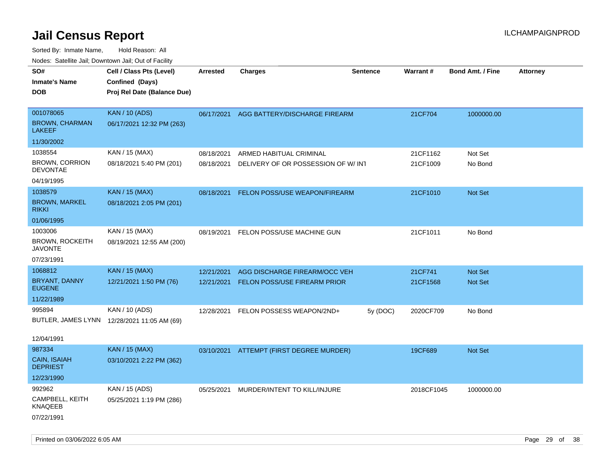| ivouss. Satellite Jali, Downtown Jali, Out of Facility |                                             |                 |                                          |                 |                 |                         |                 |
|--------------------------------------------------------|---------------------------------------------|-----------------|------------------------------------------|-----------------|-----------------|-------------------------|-----------------|
| SO#                                                    | Cell / Class Pts (Level)                    | <b>Arrested</b> | <b>Charges</b>                           | <b>Sentence</b> | <b>Warrant#</b> | <b>Bond Amt. / Fine</b> | <b>Attorney</b> |
| <b>Inmate's Name</b>                                   | Confined (Days)                             |                 |                                          |                 |                 |                         |                 |
| DOB                                                    | Proj Rel Date (Balance Due)                 |                 |                                          |                 |                 |                         |                 |
|                                                        |                                             |                 |                                          |                 |                 |                         |                 |
| 001078065                                              | <b>KAN / 10 (ADS)</b>                       |                 | 06/17/2021 AGG BATTERY/DISCHARGE FIREARM |                 | 21CF704         | 1000000.00              |                 |
| <b>BROWN, CHARMAN</b><br>LAKEEF                        | 06/17/2021 12:32 PM (263)                   |                 |                                          |                 |                 |                         |                 |
| 11/30/2002                                             |                                             |                 |                                          |                 |                 |                         |                 |
| 1038554                                                | KAN / 15 (MAX)                              | 08/18/2021      | ARMED HABITUAL CRIMINAL                  |                 | 21CF1162        | Not Set                 |                 |
| <b>BROWN, CORRION</b><br><b>DEVONTAE</b>               | 08/18/2021 5:40 PM (201)                    | 08/18/2021      | DELIVERY OF OR POSSESSION OF W/INT       |                 | 21CF1009        | No Bond                 |                 |
| 04/19/1995                                             |                                             |                 |                                          |                 |                 |                         |                 |
| 1038579                                                | <b>KAN / 15 (MAX)</b>                       | 08/18/2021      | FELON POSS/USE WEAPON/FIREARM            |                 | 21CF1010        | Not Set                 |                 |
| <b>BROWN, MARKEL</b><br>rikki                          | 08/18/2021 2:05 PM (201)                    |                 |                                          |                 |                 |                         |                 |
| 01/06/1995                                             |                                             |                 |                                          |                 |                 |                         |                 |
| 1003006                                                | KAN / 15 (MAX)                              | 08/19/2021      | FELON POSS/USE MACHINE GUN               |                 | 21CF1011        | No Bond                 |                 |
| <b>BROWN, ROCKEITH</b><br>JAVONTE                      | 08/19/2021 12:55 AM (200)                   |                 |                                          |                 |                 |                         |                 |
| 07/23/1991                                             |                                             |                 |                                          |                 |                 |                         |                 |
| 1068812                                                | <b>KAN / 15 (MAX)</b>                       | 12/21/2021      | AGG DISCHARGE FIREARM/OCC VEH            |                 | 21CF741         | <b>Not Set</b>          |                 |
| BRYANT, DANNY<br><b>EUGENE</b>                         | 12/21/2021 1:50 PM (76)                     | 12/21/2021      | FELON POSS/USE FIREARM PRIOR             |                 | 21CF1568        | Not Set                 |                 |
| 11/22/1989                                             |                                             |                 |                                          |                 |                 |                         |                 |
| 995894                                                 | KAN / 10 (ADS)                              | 12/28/2021      | FELON POSSESS WEAPON/2ND+                | 5y (DOC)        | 2020CF709       | No Bond                 |                 |
|                                                        | BUTLER, JAMES LYNN 12/28/2021 11:05 AM (69) |                 |                                          |                 |                 |                         |                 |
|                                                        |                                             |                 |                                          |                 |                 |                         |                 |
| 12/04/1991                                             |                                             |                 |                                          |                 |                 |                         |                 |
| 987334                                                 | <b>KAN / 15 (MAX)</b>                       | 03/10/2021      | ATTEMPT (FIRST DEGREE MURDER)            |                 | 19CF689         | Not Set                 |                 |
| <b>CAIN, ISAIAH</b><br><b>DEPRIEST</b>                 | 03/10/2021 2:22 PM (362)                    |                 |                                          |                 |                 |                         |                 |
| 12/23/1990                                             |                                             |                 |                                          |                 |                 |                         |                 |
| 992962                                                 | KAN / 15 (ADS)                              | 05/25/2021      | MURDER/INTENT TO KILL/INJURE             |                 | 2018CF1045      | 1000000.00              |                 |
| CAMPBELL, KEITH<br>KNAQEEB                             | 05/25/2021 1:19 PM (286)                    |                 |                                          |                 |                 |                         |                 |
| 07/22/1991                                             |                                             |                 |                                          |                 |                 |                         |                 |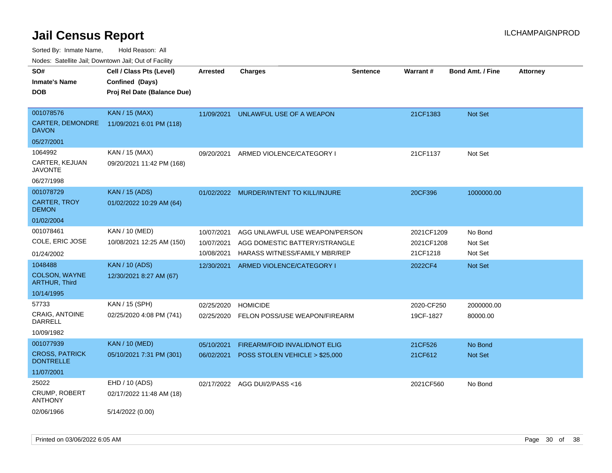Sorted By: Inmate Name, Hold Reason: All

Nodes: Satellite Jail; Downtown Jail; Out of Facility

| SO#                                       | Cell / Class Pts (Level)    | <b>Arrested</b> | <b>Charges</b>                 | <b>Sentence</b> | Warrant#   | <b>Bond Amt. / Fine</b> | <b>Attorney</b> |
|-------------------------------------------|-----------------------------|-----------------|--------------------------------|-----------------|------------|-------------------------|-----------------|
| <b>Inmate's Name</b>                      | Confined (Days)             |                 |                                |                 |            |                         |                 |
| <b>DOB</b>                                | Proj Rel Date (Balance Due) |                 |                                |                 |            |                         |                 |
|                                           |                             |                 |                                |                 |            |                         |                 |
| 001078576                                 | <b>KAN / 15 (MAX)</b>       | 11/09/2021      | UNLAWFUL USE OF A WEAPON       |                 | 21CF1383   | Not Set                 |                 |
| CARTER, DEMONDRE<br><b>DAVON</b>          | 11/09/2021 6:01 PM (118)    |                 |                                |                 |            |                         |                 |
| 05/27/2001                                |                             |                 |                                |                 |            |                         |                 |
| 1064992                                   | KAN / 15 (MAX)              | 09/20/2021      | ARMED VIOLENCE/CATEGORY I      |                 | 21CF1137   | Not Set                 |                 |
| CARTER, KEJUAN<br><b>JAVONTE</b>          | 09/20/2021 11:42 PM (168)   |                 |                                |                 |            |                         |                 |
| 06/27/1998                                |                             |                 |                                |                 |            |                         |                 |
| 001078729                                 | <b>KAN / 15 (ADS)</b>       | 01/02/2022      | MURDER/INTENT TO KILL/INJURE   |                 | 20CF396    | 1000000.00              |                 |
| <b>CARTER, TROY</b><br><b>DEMON</b>       | 01/02/2022 10:29 AM (64)    |                 |                                |                 |            |                         |                 |
| 01/02/2004                                |                             |                 |                                |                 |            |                         |                 |
| 001078461                                 | KAN / 10 (MED)              | 10/07/2021      | AGG UNLAWFUL USE WEAPON/PERSON |                 | 2021CF1209 | No Bond                 |                 |
| COLE, ERIC JOSE                           | 10/08/2021 12:25 AM (150)   | 10/07/2021      | AGG DOMESTIC BATTERY/STRANGLE  |                 | 2021CF1208 | Not Set                 |                 |
| 01/24/2002                                |                             | 10/08/2021      | HARASS WITNESS/FAMILY MBR/REP  |                 | 21CF1218   | Not Set                 |                 |
| 1048488                                   | <b>KAN / 10 (ADS)</b>       | 12/30/2021      | ARMED VIOLENCE/CATEGORY I      |                 | 2022CF4    | Not Set                 |                 |
| COLSON, WAYNE<br><b>ARTHUR, Third</b>     | 12/30/2021 8:27 AM (67)     |                 |                                |                 |            |                         |                 |
| 10/14/1995                                |                             |                 |                                |                 |            |                         |                 |
| 57733                                     | KAN / 15 (SPH)              | 02/25/2020      | <b>HOMICIDE</b>                |                 | 2020-CF250 | 2000000.00              |                 |
| CRAIG, ANTOINE<br><b>DARRELL</b>          | 02/25/2020 4:08 PM (741)    | 02/25/2020      | FELON POSS/USE WEAPON/FIREARM  |                 | 19CF-1827  | 80000.00                |                 |
| 10/09/1982                                |                             |                 |                                |                 |            |                         |                 |
| 001077939                                 | <b>KAN / 10 (MED)</b>       | 05/10/2021      | FIREARM/FOID INVALID/NOT ELIG  |                 | 21CF526    | No Bond                 |                 |
| <b>CROSS, PATRICK</b><br><b>DONTRELLE</b> | 05/10/2021 7:31 PM (301)    | 06/02/2021      | POSS STOLEN VEHICLE > \$25,000 |                 | 21CF612    | Not Set                 |                 |
| 11/07/2001                                |                             |                 |                                |                 |            |                         |                 |
| 25022                                     | EHD / 10 (ADS)              |                 | 02/17/2022 AGG DUI/2/PASS<16   |                 | 2021CF560  | No Bond                 |                 |
| CRUMP, ROBERT<br><b>ANTHONY</b>           | 02/17/2022 11:48 AM (18)    |                 |                                |                 |            |                         |                 |
| 02/06/1966                                | 5/14/2022 (0.00)            |                 |                                |                 |            |                         |                 |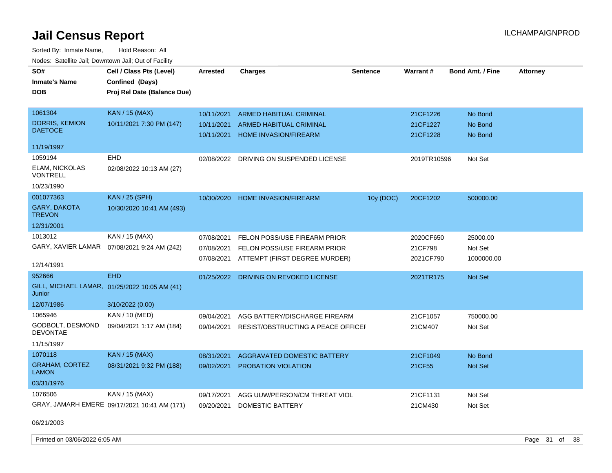Sorted By: Inmate Name, Hold Reason: All Nodes: Satellite Jail; Downtown Jail; Out of Facility

| SO#                                     | Cell / Class Pts (Level)                      | <b>Arrested</b> | <b>Charges</b>                          | <b>Sentence</b> | Warrant#    | <b>Bond Amt. / Fine</b> | <b>Attorney</b> |
|-----------------------------------------|-----------------------------------------------|-----------------|-----------------------------------------|-----------------|-------------|-------------------------|-----------------|
|                                         |                                               |                 |                                         |                 |             |                         |                 |
| <b>Inmate's Name</b>                    | Confined (Days)                               |                 |                                         |                 |             |                         |                 |
| <b>DOB</b>                              | Proj Rel Date (Balance Due)                   |                 |                                         |                 |             |                         |                 |
|                                         |                                               |                 |                                         |                 |             |                         |                 |
| 1061304                                 | <b>KAN / 15 (MAX)</b>                         | 10/11/2021      | ARMED HABITUAL CRIMINAL                 |                 | 21CF1226    | No Bond                 |                 |
| <b>DORRIS, KEMION</b><br><b>DAETOCE</b> | 10/11/2021 7:30 PM (147)                      | 10/11/2021      | <b>ARMED HABITUAL CRIMINAL</b>          |                 | 21CF1227    | No Bond                 |                 |
|                                         |                                               | 10/11/2021      | <b>HOME INVASION/FIREARM</b>            |                 | 21CF1228    | No Bond                 |                 |
| 11/19/1997                              |                                               |                 |                                         |                 |             |                         |                 |
| 1059194                                 | <b>EHD</b>                                    |                 | 02/08/2022 DRIVING ON SUSPENDED LICENSE |                 | 2019TR10596 | Not Set                 |                 |
| ELAM, NICKOLAS<br>VONTRELL              | 02/08/2022 10:13 AM (27)                      |                 |                                         |                 |             |                         |                 |
| 10/23/1990                              |                                               |                 |                                         |                 |             |                         |                 |
| 001077363                               | <b>KAN / 25 (SPH)</b>                         | 10/30/2020      | HOME INVASION/FIREARM                   | 10y (DOC)       | 20CF1202    | 500000.00               |                 |
| GARY, DAKOTA<br><b>TREVON</b>           | 10/30/2020 10:41 AM (493)                     |                 |                                         |                 |             |                         |                 |
| 12/31/2001                              |                                               |                 |                                         |                 |             |                         |                 |
| 1013012                                 | KAN / 15 (MAX)                                | 07/08/2021      | FELON POSS/USE FIREARM PRIOR            |                 | 2020CF650   | 25000.00                |                 |
| GARY, XAVIER LAMAR                      | 07/08/2021 9:24 AM (242)                      | 07/08/2021      | FELON POSS/USE FIREARM PRIOR            |                 | 21CF798     | Not Set                 |                 |
|                                         |                                               | 07/08/2021      | ATTEMPT (FIRST DEGREE MURDER)           |                 | 2021CF790   | 1000000.00              |                 |
| 12/14/1991                              |                                               |                 |                                         |                 |             |                         |                 |
| 952666                                  | <b>EHD</b>                                    | 01/25/2022      | DRIVING ON REVOKED LICENSE              |                 | 2021TR175   | <b>Not Set</b>          |                 |
| Junior                                  | GILL, MICHAEL LAMAR, 01/25/2022 10:05 AM (41) |                 |                                         |                 |             |                         |                 |
| 12/07/1986                              | 3/10/2022 (0.00)                              |                 |                                         |                 |             |                         |                 |
| 1065946                                 | <b>KAN / 10 (MED)</b>                         | 09/04/2021      | AGG BATTERY/DISCHARGE FIREARM           |                 | 21CF1057    | 750000.00               |                 |
| GODBOLT, DESMOND<br><b>DEVONTAE</b>     | 09/04/2021 1:17 AM (184)                      | 09/04/2021      | RESIST/OBSTRUCTING A PEACE OFFICEF      |                 | 21CM407     | Not Set                 |                 |
| 11/15/1997                              |                                               |                 |                                         |                 |             |                         |                 |
| 1070118                                 | <b>KAN / 15 (MAX)</b>                         | 08/31/2021      | AGGRAVATED DOMESTIC BATTERY             |                 | 21CF1049    | No Bond                 |                 |
| <b>GRAHAM, CORTEZ</b><br><b>LAMON</b>   | 08/31/2021 9:32 PM (188)                      | 09/02/2021      | PROBATION VIOLATION                     |                 | 21CF55      | Not Set                 |                 |
| 03/31/1976                              |                                               |                 |                                         |                 |             |                         |                 |
| 1076506                                 | KAN / 15 (MAX)                                | 09/17/2021      | AGG UUW/PERSON/CM THREAT VIOL           |                 | 21CF1131    | Not Set                 |                 |
|                                         | GRAY, JAMARH EMERE 09/17/2021 10:41 AM (171)  | 09/20/2021      | <b>DOMESTIC BATTERY</b>                 |                 | 21CM430     | Not Set                 |                 |

06/21/2003

Printed on 03/06/2022 6:05 AM **Page 31 of 38**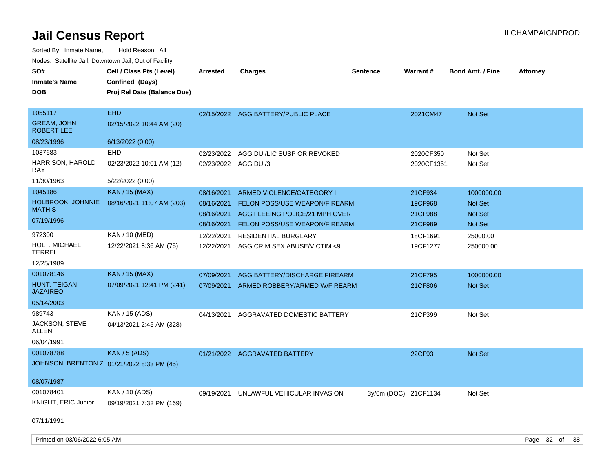| SO#<br><b>Inmate's Name</b><br><b>DOB</b>          | Cell / Class Pts (Level)<br>Confined (Days)<br>Proj Rel Date (Balance Due) | <b>Arrested</b>                    | <b>Charges</b>                                                         | Sentence             | <b>Warrant#</b>         | <b>Bond Amt. / Fine</b> | <b>Attorney</b> |
|----------------------------------------------------|----------------------------------------------------------------------------|------------------------------------|------------------------------------------------------------------------|----------------------|-------------------------|-------------------------|-----------------|
| 1055117<br><b>GREAM, JOHN</b><br><b>ROBERT LEE</b> | <b>EHD</b><br>02/15/2022 10:44 AM (20)                                     |                                    | 02/15/2022 AGG BATTERY/PUBLIC PLACE                                    |                      | 2021CM47                | Not Set                 |                 |
| 08/23/1996                                         | 6/13/2022 (0.00)                                                           |                                    |                                                                        |                      |                         |                         |                 |
| 1037683<br>HARRISON, HAROLD                        | EHD<br>02/23/2022 10:01 AM (12)                                            | 02/23/2022<br>02/23/2022 AGG DUI/3 | AGG DUI/LIC SUSP OR REVOKED                                            |                      | 2020CF350<br>2020CF1351 | Not Set<br>Not Set      |                 |
| <b>RAY</b><br>11/30/1963                           | 5/22/2022 (0.00)                                                           |                                    |                                                                        |                      |                         |                         |                 |
| 1045186                                            | <b>KAN / 15 (MAX)</b>                                                      | 08/16/2021                         | ARMED VIOLENCE/CATEGORY I                                              |                      | 21CF934                 | 1000000.00              |                 |
| <b>HOLBROOK, JOHNNIE</b><br><b>MATHIS</b>          | 08/16/2021 11:07 AM (203)                                                  | 08/16/2021                         | FELON POSS/USE WEAPON/FIREARM                                          |                      | 19CF968                 | <b>Not Set</b>          |                 |
| 07/19/1996                                         |                                                                            | 08/16/2021<br>08/16/2021           | AGG FLEEING POLICE/21 MPH OVER<br><b>FELON POSS/USE WEAPON/FIREARM</b> |                      | 21CF988<br>21CF989      | Not Set<br>Not Set      |                 |
| 972300                                             | KAN / 10 (MED)                                                             | 12/22/2021                         | <b>RESIDENTIAL BURGLARY</b>                                            |                      | 18CF1691                | 25000.00                |                 |
| HOLT, MICHAEL<br><b>TERRELL</b>                    | 12/22/2021 8:36 AM (75)                                                    | 12/22/2021                         | AGG CRIM SEX ABUSE/VICTIM <9                                           |                      | 19CF1277                | 250000.00               |                 |
| 12/25/1989                                         |                                                                            |                                    |                                                                        |                      |                         |                         |                 |
| 001078146                                          | <b>KAN / 15 (MAX)</b>                                                      | 07/09/2021                         | AGG BATTERY/DISCHARGE FIREARM                                          |                      | 21CF795                 | 1000000.00              |                 |
| HUNT, TEIGAN<br><b>JAZAIREO</b>                    | 07/09/2021 12:41 PM (241)                                                  | 07/09/2021                         | ARMED ROBBERY/ARMED W/FIREARM                                          |                      | 21CF806                 | Not Set                 |                 |
| 05/14/2003                                         |                                                                            |                                    |                                                                        |                      |                         |                         |                 |
| 989743                                             | KAN / 15 (ADS)                                                             | 04/13/2021                         | AGGRAVATED DOMESTIC BATTERY                                            |                      | 21CF399                 | Not Set                 |                 |
| JACKSON, STEVE<br>ALLEN                            | 04/13/2021 2:45 AM (328)                                                   |                                    |                                                                        |                      |                         |                         |                 |
| 06/04/1991                                         |                                                                            |                                    |                                                                        |                      |                         |                         |                 |
| 001078788                                          | <b>KAN / 5 (ADS)</b>                                                       |                                    | 01/21/2022 AGGRAVATED BATTERY                                          |                      | 22CF93                  | Not Set                 |                 |
|                                                    | JOHNSON, BRENTON Z 01/21/2022 8:33 PM (45)                                 |                                    |                                                                        |                      |                         |                         |                 |
| 08/07/1987                                         |                                                                            |                                    |                                                                        |                      |                         |                         |                 |
| 001078401                                          | KAN / 10 (ADS)                                                             | 09/19/2021                         | UNLAWFUL VEHICULAR INVASION                                            | 3y/6m (DOC) 21CF1134 |                         | Not Set                 |                 |
| KNIGHT, ERIC Junior                                | 09/19/2021 7:32 PM (169)                                                   |                                    |                                                                        |                      |                         |                         |                 |
| 07/11/1991                                         |                                                                            |                                    |                                                                        |                      |                         |                         |                 |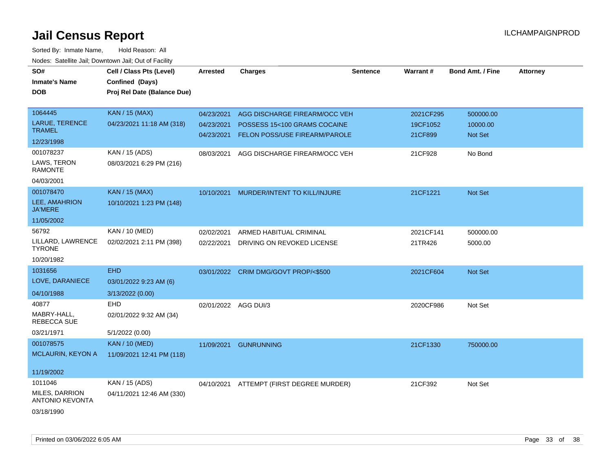| SO#                                      | Cell / Class Pts (Level)    | <b>Arrested</b>      | <b>Charges</b>                       | <b>Sentence</b> | Warrant#  | <b>Bond Amt. / Fine</b> | <b>Attorney</b> |
|------------------------------------------|-----------------------------|----------------------|--------------------------------------|-----------------|-----------|-------------------------|-----------------|
| <b>Inmate's Name</b>                     | Confined (Days)             |                      |                                      |                 |           |                         |                 |
| <b>DOB</b>                               | Proj Rel Date (Balance Due) |                      |                                      |                 |           |                         |                 |
|                                          |                             |                      |                                      |                 |           |                         |                 |
| 1064445                                  | <b>KAN / 15 (MAX)</b>       | 04/23/2021           | AGG DISCHARGE FIREARM/OCC VEH        |                 | 2021CF295 | 500000.00               |                 |
| <b>LARUE, TERENCE</b><br><b>TRAMEL</b>   | 04/23/2021 11:18 AM (318)   | 04/23/2021           | POSSESS 15<100 GRAMS COCAINE         |                 | 19CF1052  | 10000.00                |                 |
| 12/23/1998                               |                             | 04/23/2021           | FELON POSS/USE FIREARM/PAROLE        |                 | 21CF899   | Not Set                 |                 |
| 001078237                                | KAN / 15 (ADS)              | 08/03/2021           | AGG DISCHARGE FIREARM/OCC VEH        |                 | 21CF928   | No Bond                 |                 |
| LAWS, TERON<br><b>RAMONTE</b>            | 08/03/2021 6:29 PM (216)    |                      |                                      |                 |           |                         |                 |
| 04/03/2001                               |                             |                      |                                      |                 |           |                         |                 |
| 001078470                                | <b>KAN / 15 (MAX)</b>       | 10/10/2021           | MURDER/INTENT TO KILL/INJURE         |                 | 21CF1221  | <b>Not Set</b>          |                 |
| LEE, AMAHRION<br><b>JA'MERE</b>          | 10/10/2021 1:23 PM (148)    |                      |                                      |                 |           |                         |                 |
| 11/05/2002                               |                             |                      |                                      |                 |           |                         |                 |
| 56792                                    | KAN / 10 (MED)              | 02/02/2021           | ARMED HABITUAL CRIMINAL              |                 | 2021CF141 | 500000.00               |                 |
| LILLARD, LAWRENCE<br><b>TYRONE</b>       | 02/02/2021 2:11 PM (398)    | 02/22/2021           | DRIVING ON REVOKED LICENSE           |                 | 21TR426   | 5000.00                 |                 |
| 10/20/1982                               |                             |                      |                                      |                 |           |                         |                 |
| 1031656                                  | <b>EHD</b>                  |                      | 03/01/2022 CRIM DMG/GOVT PROP/<\$500 |                 | 2021CF604 | Not Set                 |                 |
| LOVE, DARANIECE                          | 03/01/2022 9:23 AM (6)      |                      |                                      |                 |           |                         |                 |
| 04/10/1988                               | 3/13/2022 (0.00)            |                      |                                      |                 |           |                         |                 |
| 40877                                    | EHD                         | 02/01/2022 AGG DUI/3 |                                      |                 | 2020CF986 | Not Set                 |                 |
| MABRY-HALL,<br><b>REBECCA SUE</b>        | 02/01/2022 9:32 AM (34)     |                      |                                      |                 |           |                         |                 |
| 03/21/1971                               | 5/1/2022 (0.00)             |                      |                                      |                 |           |                         |                 |
| 001078575                                | <b>KAN / 10 (MED)</b>       | 11/09/2021           | <b>GUNRUNNING</b>                    |                 | 21CF1330  | 750000.00               |                 |
| <b>MCLAURIN, KEYON A</b>                 | 11/09/2021 12:41 PM (118)   |                      |                                      |                 |           |                         |                 |
| 11/19/2002                               |                             |                      |                                      |                 |           |                         |                 |
| 1011046                                  | KAN / 15 (ADS)              | 04/10/2021           | ATTEMPT (FIRST DEGREE MURDER)        |                 | 21CF392   | Not Set                 |                 |
| MILES, DARRION<br><b>ANTONIO KEVONTA</b> | 04/11/2021 12:46 AM (330)   |                      |                                      |                 |           |                         |                 |
| 03/18/1990                               |                             |                      |                                      |                 |           |                         |                 |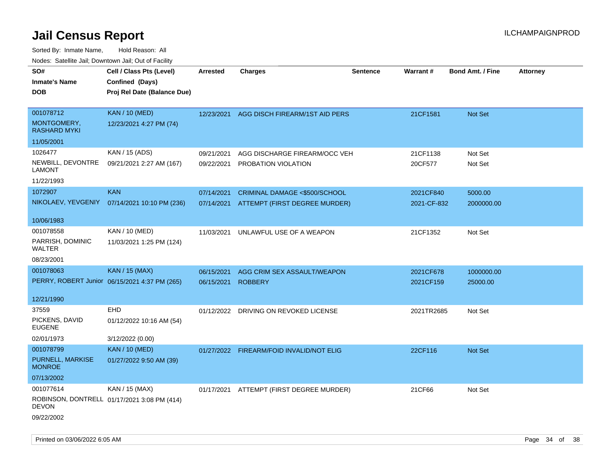| SO#<br><b>Inmate's Name</b><br><b>DOB</b>                    | Cell / Class Pts (Level)<br>Confined (Days)<br>Proj Rel Date (Balance Due) | Arrested                 | <b>Charges</b>                                                 | <b>Sentence</b> | Warrant#                 | <b>Bond Amt. / Fine</b> | <b>Attorney</b> |
|--------------------------------------------------------------|----------------------------------------------------------------------------|--------------------------|----------------------------------------------------------------|-----------------|--------------------------|-------------------------|-----------------|
| 001078712<br>MONTGOMERY,<br><b>RASHARD MYKI</b>              | <b>KAN / 10 (MED)</b><br>12/23/2021 4:27 PM (74)                           | 12/23/2021               | AGG DISCH FIREARM/1ST AID PERS                                 |                 | 21CF1581                 | Not Set                 |                 |
| 11/05/2001                                                   |                                                                            |                          |                                                                |                 |                          |                         |                 |
| 1026477<br>NEWBILL, DEVONTRE<br>LAMONT<br>11/22/1993         | KAN / 15 (ADS)<br>09/21/2021 2:27 AM (167)                                 | 09/21/2021<br>09/22/2021 | AGG DISCHARGE FIREARM/OCC VEH<br>PROBATION VIOLATION           |                 | 21CF1138<br>20CF577      | Not Set<br>Not Set      |                 |
| 1072907                                                      | <b>KAN</b><br>NIKOLAEV, YEVGENIY 07/14/2021 10:10 PM (236)                 | 07/14/2021<br>07/14/2021 | CRIMINAL DAMAGE <\$500/SCHOOL<br>ATTEMPT (FIRST DEGREE MURDER) |                 | 2021CF840<br>2021-CF-832 | 5000.00<br>2000000.00   |                 |
| 10/06/1983                                                   |                                                                            |                          |                                                                |                 |                          |                         |                 |
| 001078558<br>PARRISH, DOMINIC<br>WALTER                      | KAN / 10 (MED)<br>11/03/2021 1:25 PM (124)                                 | 11/03/2021               | UNLAWFUL USE OF A WEAPON                                       |                 | 21CF1352                 | Not Set                 |                 |
| 08/23/2001                                                   |                                                                            |                          |                                                                |                 |                          |                         |                 |
| 001078063                                                    | <b>KAN / 15 (MAX)</b><br>PERRY, ROBERT Junior 06/15/2021 4:37 PM (265)     | 06/15/2021<br>06/15/2021 | AGG CRIM SEX ASSAULT/WEAPON<br><b>ROBBERY</b>                  |                 | 2021CF678<br>2021CF159   | 1000000.00<br>25000.00  |                 |
| 12/21/1990                                                   |                                                                            |                          |                                                                |                 |                          |                         |                 |
| 37559<br>PICKENS, DAVID<br>EUGENE<br>02/01/1973              | <b>EHD</b><br>01/12/2022 10:16 AM (54)<br>3/12/2022 (0.00)                 |                          | 01/12/2022 DRIVING ON REVOKED LICENSE                          |                 | 2021TR2685               | Not Set                 |                 |
| 001078799<br>PURNELL, MARKISE<br><b>MONROE</b><br>07/13/2002 | <b>KAN / 10 (MED)</b><br>01/27/2022 9:50 AM (39)                           | 01/27/2022               | <b>FIREARM/FOID INVALID/NOT ELIG</b>                           |                 | 22CF116                  | <b>Not Set</b>          |                 |
| 001077614<br><b>DEVON</b><br>09/22/2002                      | KAN / 15 (MAX)<br>ROBINSON, DONTRELL 01/17/2021 3:08 PM (414)              |                          | 01/17/2021 ATTEMPT (FIRST DEGREE MURDER)                       |                 | 21CF66                   | Not Set                 |                 |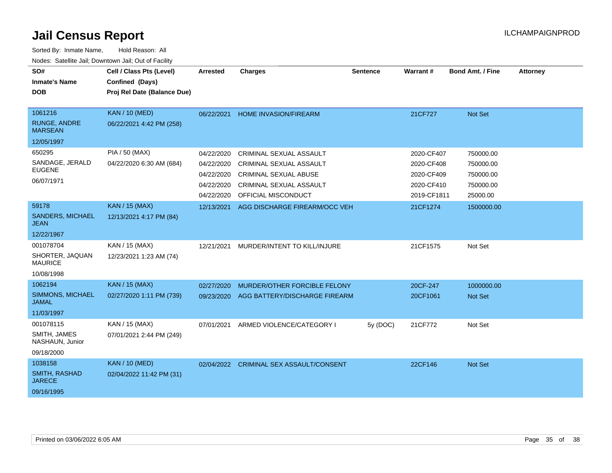| SO#<br><b>Inmate's Name</b><br><b>DOB</b>                                  | Cell / Class Pts (Level)<br>Confined (Days)<br>Proj Rel Date (Balance Due) | <b>Arrested</b>                        | <b>Charges</b>                                                                     | <b>Sentence</b> | Warrant#                               | <b>Bond Amt. / Fine</b>             | <b>Attorney</b> |
|----------------------------------------------------------------------------|----------------------------------------------------------------------------|----------------------------------------|------------------------------------------------------------------------------------|-----------------|----------------------------------------|-------------------------------------|-----------------|
| 1061216<br><b>RUNGE, ANDRE</b><br><b>MARSEAN</b>                           | <b>KAN / 10 (MED)</b><br>06/22/2021 4:42 PM (258)                          | 06/22/2021                             | <b>HOME INVASION/FIREARM</b>                                                       |                 | 21CF727                                | Not Set                             |                 |
| 12/05/1997                                                                 |                                                                            |                                        |                                                                                    |                 |                                        |                                     |                 |
| 650295<br>SANDAGE, JERALD<br><b>EUGENE</b>                                 | <b>PIA / 50 (MAX)</b><br>04/22/2020 6:30 AM (684)                          | 04/22/2020<br>04/22/2020<br>04/22/2020 | CRIMINAL SEXUAL ASSAULT<br>CRIMINAL SEXUAL ASSAULT<br><b>CRIMINAL SEXUAL ABUSE</b> |                 | 2020-CF407<br>2020-CF408<br>2020-CF409 | 750000.00<br>750000.00<br>750000.00 |                 |
| 06/07/1971                                                                 |                                                                            | 04/22/2020<br>04/22/2020               | CRIMINAL SEXUAL ASSAULT<br>OFFICIAL MISCONDUCT                                     |                 | 2020-CF410<br>2019-CF1811              | 750000.00<br>25000.00               |                 |
| 59178<br><b>SANDERS, MICHAEL</b><br><b>JEAN</b>                            | <b>KAN / 15 (MAX)</b><br>12/13/2021 4:17 PM (84)                           | 12/13/2021                             | AGG DISCHARGE FIREARM/OCC VEH                                                      |                 | 21CF1274                               | 1500000.00                          |                 |
| 12/22/1967<br>001078704<br>SHORTER, JAQUAN<br><b>MAURICE</b><br>10/08/1998 | KAN / 15 (MAX)<br>12/23/2021 1:23 AM (74)                                  | 12/21/2021                             | MURDER/INTENT TO KILL/INJURE                                                       |                 | 21CF1575                               | Not Set                             |                 |
| 1062194<br>SIMMONS, MICHAEL<br><b>JAMAL</b><br>11/03/1997                  | <b>KAN / 15 (MAX)</b><br>02/27/2020 1:11 PM (739)                          | 02/27/2020<br>09/23/2020               | MURDER/OTHER FORCIBLE FELONY<br>AGG BATTERY/DISCHARGE FIREARM                      |                 | 20CF-247<br>20CF1061                   | 1000000.00<br><b>Not Set</b>        |                 |
| 001078115<br>SMITH, JAMES<br>NASHAUN, Junior<br>09/18/2000                 | KAN / 15 (MAX)<br>07/01/2021 2:44 PM (249)                                 | 07/01/2021                             | ARMED VIOLENCE/CATEGORY I                                                          | 5y (DOC)        | 21CF772                                | Not Set                             |                 |
| 1038158<br>SMITH, RASHAD<br><b>JARECE</b><br>09/16/1995                    | <b>KAN / 10 (MED)</b><br>02/04/2022 11:42 PM (31)                          | 02/04/2022                             | <b>CRIMINAL SEX ASSAULT/CONSENT</b>                                                |                 | 22CF146                                | Not Set                             |                 |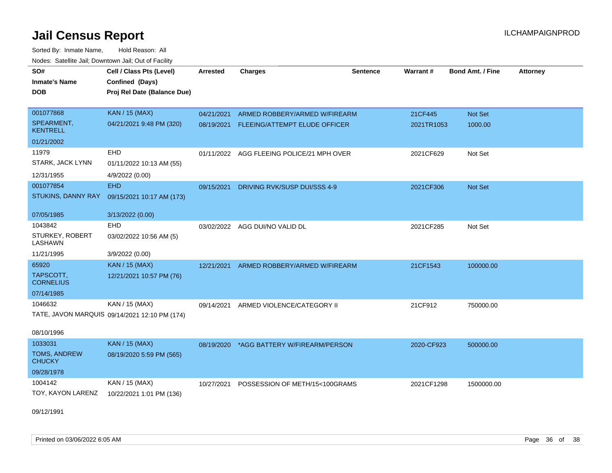Sorted By: Inmate Name, Hold Reason: All Nodes: Satellite Jail; Downtown Jail; Out of Facility

| SO#<br><b>Inmate's Name</b><br><b>DOB</b>                                | Cell / Class Pts (Level)<br>Confined (Days)<br>Proj Rel Date (Balance Due) | <b>Arrested</b> | <b>Charges</b>                                                            | <b>Sentence</b> | Warrant#              | <b>Bond Amt. / Fine</b> | <b>Attorney</b> |
|--------------------------------------------------------------------------|----------------------------------------------------------------------------|-----------------|---------------------------------------------------------------------------|-----------------|-----------------------|-------------------------|-----------------|
| 001077868<br>SPEARMENT,<br><b>KENTRELL</b>                               | <b>KAN / 15 (MAX)</b><br>04/21/2021 9:48 PM (320)                          | 04/21/2021      | ARMED ROBBERY/ARMED W/FIREARM<br>08/19/2021 FLEEING/ATTEMPT ELUDE OFFICER |                 | 21CF445<br>2021TR1053 | Not Set<br>1000.00      |                 |
| 01/21/2002<br>11979<br>STARK, JACK LYNN<br>12/31/1955                    | <b>EHD</b><br>01/11/2022 10:13 AM (55)<br>4/9/2022 (0.00)                  |                 | 01/11/2022 AGG FLEEING POLICE/21 MPH OVER                                 |                 | 2021CF629             | Not Set                 |                 |
| 001077854<br>STUKINS, DANNY RAY                                          | <b>EHD</b><br>09/15/2021 10:17 AM (173)                                    | 09/15/2021      | DRIVING RVK/SUSP DUI/SSS 4-9                                              |                 | 2021CF306             | Not Set                 |                 |
| 07/05/1985<br>1043842<br><b>STURKEY, ROBERT</b><br>LASHAWN<br>11/21/1995 | 3/13/2022 (0.00)<br>EHD<br>03/02/2022 10:56 AM (5)<br>3/9/2022 (0.00)      |                 | 03/02/2022 AGG DUI/NO VALID DL                                            |                 | 2021CF285             | Not Set                 |                 |
| 65920<br>TAPSCOTT,<br><b>CORNELIUS</b><br>07/14/1985                     | <b>KAN / 15 (MAX)</b><br>12/21/2021 10:57 PM (76)                          | 12/21/2021      | ARMED ROBBERY/ARMED W/FIREARM                                             |                 | 21CF1543              | 100000.00               |                 |
| 1046632<br>08/10/1996                                                    | KAN / 15 (MAX)<br>TATE, JAVON MARQUIS 09/14/2021 12:10 PM (174)            | 09/14/2021      | ARMED VIOLENCE/CATEGORY II                                                |                 | 21CF912               | 750000.00               |                 |
| 1033031<br>TOMS, ANDREW<br><b>CHUCKY</b><br>09/28/1978                   | <b>KAN / 15 (MAX)</b><br>08/19/2020 5:59 PM (565)                          |                 | 08/19/2020 *AGG BATTERY W/FIREARM/PERSON                                  |                 | 2020-CF923            | 500000.00               |                 |
| 1004142<br>TOY, KAYON LARENZ                                             | KAN / 15 (MAX)<br>10/22/2021 1:01 PM (136)                                 | 10/27/2021      | POSSESSION OF METH/15<100GRAMS                                            |                 | 2021CF1298            | 1500000.00              |                 |

09/12/1991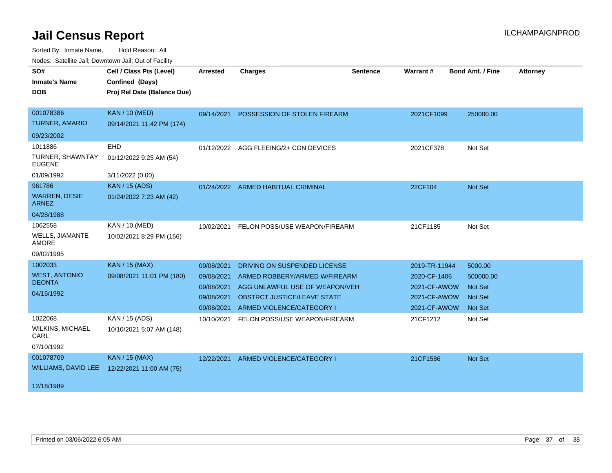| SO#<br><b>Inmate's Name</b><br><b>DOB</b>                                  | Cell / Class Pts (Level)<br>Confined (Days)<br>Proj Rel Date (Balance Due) | <b>Arrested</b>                                                    | <b>Charges</b>                                                                                                                                                     | <b>Sentence</b> | Warrant#                                                                      | <b>Bond Amt. / Fine</b>                                                    | <b>Attorney</b> |
|----------------------------------------------------------------------------|----------------------------------------------------------------------------|--------------------------------------------------------------------|--------------------------------------------------------------------------------------------------------------------------------------------------------------------|-----------------|-------------------------------------------------------------------------------|----------------------------------------------------------------------------|-----------------|
| 001078386<br><b>TURNER, AMARIO</b>                                         | <b>KAN / 10 (MED)</b><br>09/14/2021 11:42 PM (174)                         | 09/14/2021                                                         | POSSESSION OF STOLEN FIREARM                                                                                                                                       |                 | 2021CF1099                                                                    | 250000.00                                                                  |                 |
| 09/23/2002<br>1011886<br>TURNER, SHAWNTAY<br><b>EUGENE</b>                 | EHD<br>01/12/2022 9:25 AM (54)                                             |                                                                    | 01/12/2022 AGG FLEEING/2+ CON DEVICES                                                                                                                              |                 | 2021CF378                                                                     | Not Set                                                                    |                 |
| 01/09/1992<br>961786<br><b>WARREN, DESIE</b><br><b>ARNEZ</b><br>04/28/1988 | 3/11/2022 (0.00)<br><b>KAN / 15 (ADS)</b><br>01/24/2022 7:23 AM (42)       |                                                                    | 01/24/2022 ARMED HABITUAL CRIMINAL                                                                                                                                 |                 | 22CF104                                                                       | Not Set                                                                    |                 |
| 1062558<br><b>WELLS, JIAMANTE</b><br><b>AMORE</b><br>09/02/1995            | KAN / 10 (MED)<br>10/02/2021 8:29 PM (156)                                 | 10/02/2021                                                         | FELON POSS/USE WEAPON/FIREARM                                                                                                                                      |                 | 21CF1185                                                                      | Not Set                                                                    |                 |
| 1002033<br><b>WEST, ANTONIO</b><br><b>DEONTA</b><br>04/15/1992             | <b>KAN / 15 (MAX)</b><br>09/08/2021 11:01 PM (180)                         | 09/08/2021<br>09/08/2021<br>09/08/2021<br>09/08/2021<br>09/08/2021 | DRIVING ON SUSPENDED LICENSE<br>ARMED ROBBERY/ARMED W/FIREARM<br>AGG UNLAWFUL USE OF WEAPON/VEH<br><b>OBSTRCT JUSTICE/LEAVE STATE</b><br>ARMED VIOLENCE/CATEGORY I |                 | 2019-TR-11944<br>2020-CF-1406<br>2021-CF-AWOW<br>2021-CF-AWOW<br>2021-CF-AWOW | 5000.00<br>500000.00<br><b>Not Set</b><br><b>Not Set</b><br><b>Not Set</b> |                 |
| 1022068<br><b>WILKINS, MICHAEL</b><br>CARL<br>07/10/1992                   | KAN / 15 (ADS)<br>10/10/2021 5:07 AM (148)                                 | 10/10/2021                                                         | FELON POSS/USE WEAPON/FIREARM                                                                                                                                      |                 | 21CF1212                                                                      | Not Set                                                                    |                 |
| 001078709<br>WILLIAMS, DAVID LEE<br>12/18/1989                             | <b>KAN / 15 (MAX)</b><br>12/22/2021 11:00 AM (75)                          |                                                                    | 12/22/2021 ARMED VIOLENCE/CATEGORY I                                                                                                                               |                 | 21CF1586                                                                      | Not Set                                                                    |                 |